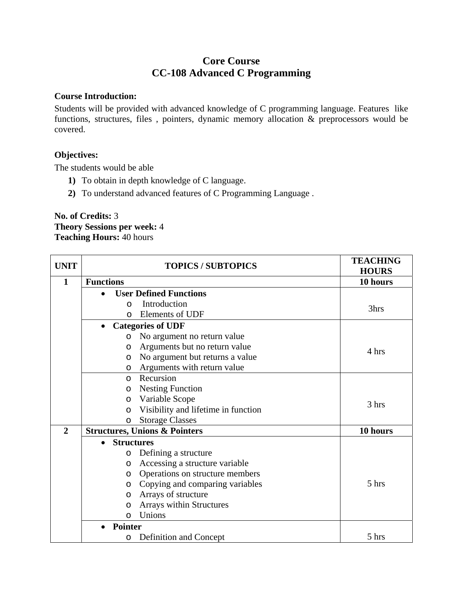# **Core Course CC-108 Advanced C Programming**

#### **Course Introduction:**

Students will be provided with advanced knowledge of C programming language. Features like functions, structures, files , pointers, dynamic memory allocation & preprocessors would be covered.

## **Objectives:**

The students would be able

- **1)** To obtain in depth knowledge of C language.
- **2)** To understand advanced features of C Programming Language .

#### **No. of Credits:** 3 **Theory Sessions per week:** 4 **Teaching Hours:** 40 hours

| <b>UNIT</b>  |                                | <b>TOPICS / SUBTOPICS</b>                | <b>TEACHING</b><br><b>HOURS</b> |
|--------------|--------------------------------|------------------------------------------|---------------------------------|
| 1            | <b>Functions</b>               |                                          | 10 hours                        |
|              |                                | <b>User Defined Functions</b>            |                                 |
|              | O                              | Introduction                             | 3hrs                            |
|              | $\Omega$                       | Elements of UDF                          |                                 |
|              | $\bullet$                      | <b>Categories of UDF</b>                 |                                 |
|              | O                              | No argument no return value              |                                 |
|              | $\circ$                        | Arguments but no return value            | 4 hrs                           |
|              | $\circ$                        | No argument but returns a value          |                                 |
|              | $\circ$                        | Arguments with return value              |                                 |
|              | $\Omega$                       | Recursion                                |                                 |
|              | $\circ$                        | <b>Nesting Function</b>                  |                                 |
|              | $\circ$                        | Variable Scope                           | 3 hrs                           |
|              | $\circ$                        | Visibility and lifetime in function      |                                 |
|              | $\circ$                        | <b>Storage Classes</b>                   |                                 |
| $\mathbf{2}$ |                                | <b>Structures, Unions &amp; Pointers</b> | 10 hours                        |
|              | <b>Structures</b><br>$\bullet$ |                                          |                                 |
|              | $\circ$                        | Defining a structure                     |                                 |
|              | $\circ$                        | Accessing a structure variable           |                                 |
|              | $\circ$                        | Operations on structure members          |                                 |
|              | $\circ$                        | Copying and comparing variables          | 5 hrs                           |
|              | $\circ$                        | Arrays of structure                      |                                 |
|              | $\circ$                        | Arrays within Structures                 |                                 |
|              | $\circ$                        | Unions                                   |                                 |
|              | <b>Pointer</b>                 |                                          |                                 |
|              | $\circ$                        | Definition and Concept                   | 5 hrs                           |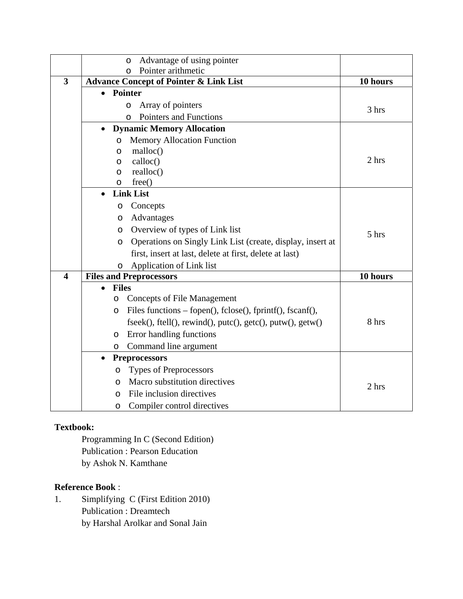|                         | Advantage of using pointer<br>$\circ$                                 |          |
|-------------------------|-----------------------------------------------------------------------|----------|
|                         | Pointer arithmetic<br>$\Omega$                                        |          |
| 3                       | <b>Advance Concept of Pointer &amp; Link List</b>                     | 10 hours |
|                         | <b>Pointer</b><br>$\bullet$                                           |          |
|                         | Array of pointers<br>$\circ$                                          | 3 hrs    |
|                         | Pointers and Functions<br>$\Omega$                                    |          |
|                         | <b>Dynamic Memory Allocation</b>                                      |          |
|                         | <b>Memory Allocation Function</b><br>O                                |          |
|                         | malloc()<br>O                                                         |          |
|                         | calloc()<br>$\circ$                                                   | 2 hrs    |
|                         | realloc()<br>O                                                        |          |
|                         | free()<br>O                                                           |          |
|                         | <b>Link List</b>                                                      |          |
|                         | Concepts<br>O                                                         |          |
|                         | Advantages<br>O                                                       |          |
|                         | Overview of types of Link list<br>$\circ$                             | 5 hrs    |
|                         | Operations on Singly Link List (create, display, insert at<br>$\circ$ |          |
|                         | first, insert at last, delete at first, delete at last)               |          |
|                         | Application of Link list<br>O                                         |          |
| $\overline{\mathbf{4}}$ | <b>Files and Preprocessors</b>                                        | 10 hours |
|                         | <b>Files</b>                                                          |          |
|                         | <b>Concepts of File Management</b><br>O                               |          |
|                         | Files functions – fopen(), fclose(), fprintf(), fscanf(),<br>O        |          |
|                         | $fseek(), ftell(), rewind(), putc(), getc(), putw(), getw()$          | 8 hrs    |
|                         | Error handling functions<br>O                                         |          |
|                         | Command line argument<br>$\circ$                                      |          |
|                         | <b>Preprocessors</b><br>$\bullet$                                     |          |
|                         | <b>Types of Preprocessors</b><br>O                                    |          |
|                         | Macro substitution directives<br>O                                    | 2 hrs    |
|                         | File inclusion directives<br>$\Omega$                                 |          |
|                         | Compiler control directives<br>O                                      |          |

## **Textbook:**

Programming In C (Second Edition) Publication : Pearson Education by Ashok N. Kamthane

## **Reference Book** :

1. Simplifying C (First Edition 2010) Publication : Dreamtech by Harshal Arolkar and Sonal Jain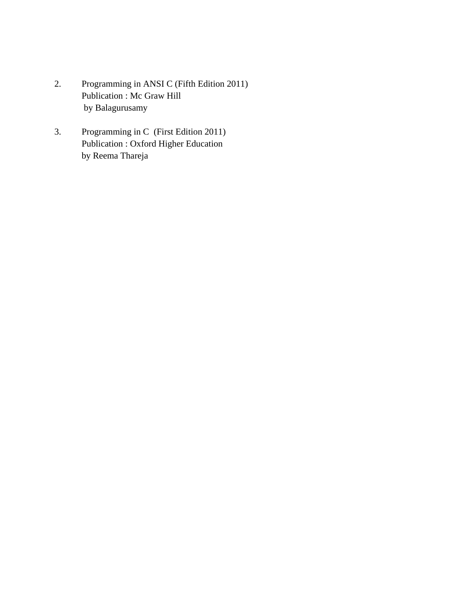- 2. Programming in ANSI C (Fifth Edition 2011) Publication : Mc Graw Hill by Balagurusamy
- 3. Programming in C (First Edition 2011) Publication : Oxford Higher Education by Reema Thareja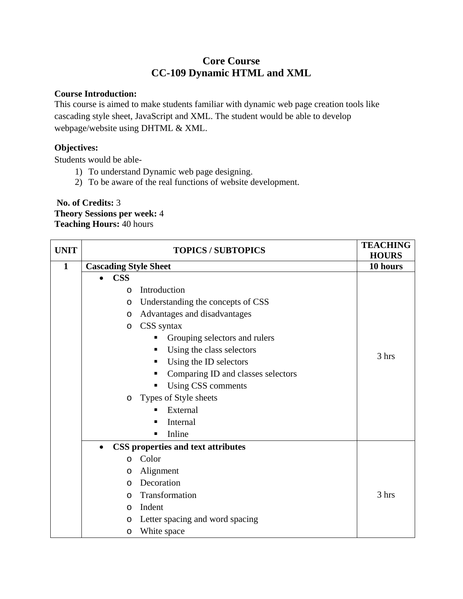# **Core Course CC-109 Dynamic HTML and XML**

#### **Course Introduction:**

This course is aimed to make students familiar with dynamic web page creation tools like cascading style sheet, JavaScript and XML. The student would be able to develop webpage/website using DHTML & XML.

## **Objectives:**

Students would be able-

- 1) To understand Dynamic web page designing.
- 2) To be aware of the real functions of website development.

#### **No. of Credits:** 3 **Theory Sessions per week:** 4 **Teaching Hours:** 40 hours

| <b>UNIT</b>  |                              | <b>TOPICS / SUBTOPICS</b>                 | <b>TEACHING</b><br><b>HOURS</b> |
|--------------|------------------------------|-------------------------------------------|---------------------------------|
| $\mathbf{1}$ | <b>Cascading Style Sheet</b> |                                           | 10 hours                        |
|              | <b>CSS</b><br>$\bullet$      |                                           |                                 |
|              | $\circ$                      | Introduction                              |                                 |
|              | $\circ$                      | Understanding the concepts of CSS         |                                 |
|              | $\circ$                      | Advantages and disadvantages              |                                 |
|              | $\circ$                      | CSS syntax                                |                                 |
|              |                              | Grouping selectors and rulers             |                                 |
|              |                              | Using the class selectors<br>п            |                                 |
|              |                              | Using the ID selectors<br>п               | 3 hrs                           |
|              |                              | Comparing ID and classes selectors        |                                 |
|              |                              | Using CSS comments<br>п                   |                                 |
|              | O                            | Types of Style sheets                     |                                 |
|              |                              | External                                  |                                 |
|              |                              | Internal                                  |                                 |
|              |                              | Inline<br>▪                               |                                 |
|              | $\bullet$                    | <b>CSS</b> properties and text attributes |                                 |
|              | $\circ$                      | Color                                     |                                 |
|              | O                            | Alignment                                 |                                 |
|              | O                            | Decoration                                |                                 |
|              | O                            | Transformation                            | 3 hrs                           |
|              | $\circ$                      | Indent                                    |                                 |
|              | O                            | Letter spacing and word spacing           |                                 |
|              | O                            | White space                               |                                 |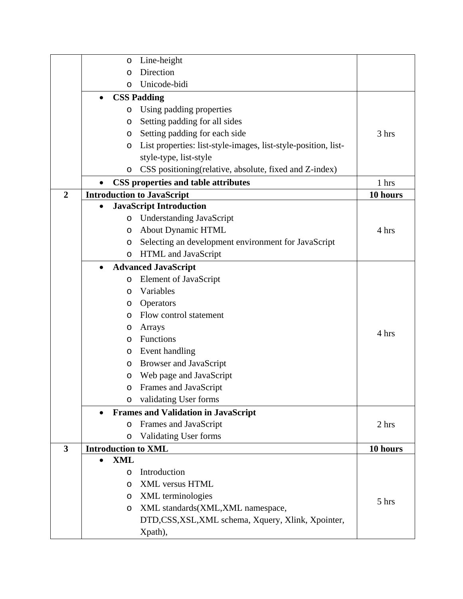|                         | O                          | Line-height                                                    |          |
|-------------------------|----------------------------|----------------------------------------------------------------|----------|
|                         | $\circ$                    | Direction                                                      |          |
|                         | O                          | Unicode-bidi                                                   |          |
|                         | $\bullet$                  | <b>CSS Padding</b>                                             |          |
|                         | O                          | Using padding properties                                       |          |
|                         | O                          | Setting padding for all sides                                  |          |
|                         | O                          | Setting padding for each side                                  | 3 hrs    |
|                         | O                          | List properties: list-style-images, list-style-position, list- |          |
|                         |                            | style-type, list-style                                         |          |
|                         | O                          | CSS positioning (relative, absolute, fixed and Z-index)        |          |
|                         | $\bullet$                  | <b>CSS</b> properties and table attributes                     | 1 hrs    |
| $\overline{2}$          |                            | <b>Introduction to JavaScript</b>                              | 10 hours |
|                         | $\bullet$                  | <b>JavaScript Introduction</b>                                 |          |
|                         | $\circ$                    | <b>Understanding JavaScript</b>                                |          |
|                         | O                          | <b>About Dynamic HTML</b>                                      | 4 hrs    |
|                         | O                          | Selecting an development environment for JavaScript            |          |
|                         | $\circ$                    | HTML and JavaScript                                            |          |
|                         | $\bullet$                  | <b>Advanced JavaScript</b>                                     |          |
|                         | $\circ$                    | Element of JavaScript                                          |          |
|                         | O                          | Variables                                                      |          |
|                         | O                          | Operators                                                      |          |
|                         | $\circ$                    | Flow control statement                                         |          |
|                         | O                          | Arrays                                                         | 4 hrs    |
|                         | $\circ$                    | Functions                                                      |          |
|                         | O                          | Event handling                                                 |          |
|                         | O                          | <b>Browser and JavaScript</b>                                  |          |
|                         | O                          | Web page and JavaScript                                        |          |
|                         | O                          | Frames and JavaScript                                          |          |
|                         | O                          | validating User forms                                          |          |
|                         |                            | <b>Frames and Validation in JavaScript</b>                     |          |
|                         | O                          | Frames and JavaScript                                          | 2 hrs    |
|                         | O                          | <b>Validating User forms</b>                                   |          |
| $\overline{\mathbf{3}}$ | <b>Introduction to XML</b> |                                                                | 10 hours |
|                         | <b>XML</b><br>$\bullet$    |                                                                |          |
|                         | O                          | Introduction                                                   |          |
|                         | $\circ$                    | <b>XML</b> versus HTML                                         |          |
|                         | O                          | <b>XML</b> terminologies                                       | 5 hrs    |
|                         | O                          | XML standards(XML,XML namespace,                               |          |
|                         |                            | DTD,CSS,XSL,XML schema, Xquery, Xlink, Xpointer,               |          |
|                         |                            | Xpath),                                                        |          |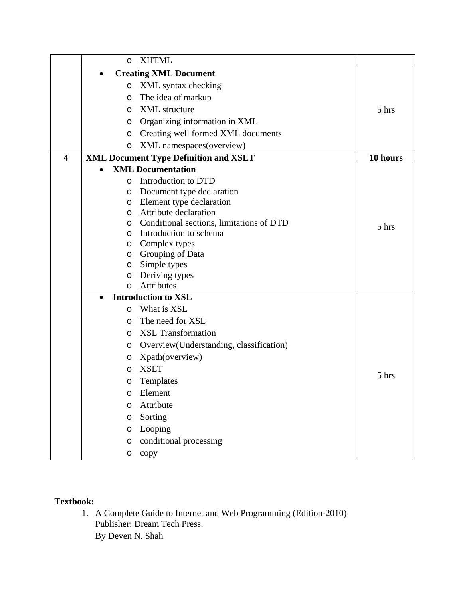|                         | $\circ$   | <b>XHTML</b>                                 |          |
|-------------------------|-----------|----------------------------------------------|----------|
|                         | $\bullet$ | <b>Creating XML Document</b>                 |          |
|                         | O         | XML syntax checking                          |          |
|                         | $\circ$   | The idea of markup                           |          |
|                         | $\circ$   | <b>XML</b> structure                         | 5 hrs    |
|                         | $\circ$   | Organizing information in XML                |          |
|                         | $\circ$   | Creating well formed XML documents           |          |
|                         | O         | XML namespaces(overview)                     |          |
| $\overline{\mathbf{4}}$ |           | <b>XML Document Type Definition and XSLT</b> | 10 hours |
|                         |           | <b>XML Documentation</b>                     |          |
|                         | O         | Introduction to DTD                          |          |
|                         | O         | Document type declaration                    |          |
|                         | $\circ$   | Element type declaration                     |          |
|                         | $\circ$   | Attribute declaration                        |          |
|                         | $\circ$   | Conditional sections, limitations of DTD     | 5 hrs    |
|                         | $\circ$   | Introduction to schema                       |          |
|                         | O         | Complex types                                |          |
|                         | O         | Grouping of Data<br>Simple types             |          |
|                         | O<br>O    | Deriving types                               |          |
|                         | $\circ$   | <b>Attributes</b>                            |          |
|                         | $\bullet$ | <b>Introduction to XSL</b>                   |          |
|                         | $\circ$   | What is XSL                                  |          |
|                         | $\circ$   | The need for XSL                             |          |
|                         | $\circ$   | <b>XSL Transformation</b>                    |          |
|                         | O         | Overview(Understanding, classification)      |          |
|                         | O         | Xpath(overview)                              |          |
|                         | O         | <b>XSLT</b>                                  |          |
|                         | O         | Templates                                    | 5 hrs    |
|                         | O         | Element                                      |          |
|                         | O         | Attribute                                    |          |
|                         | O         | Sorting                                      |          |
|                         | O         | Looping                                      |          |
|                         | O         | conditional processing                       |          |
|                         | O         | copy                                         |          |

# **Textbook:**

1. A Complete Guide to Internet and Web Programming (Edition-2010) Publisher: Dream Tech Press. By Deven N. Shah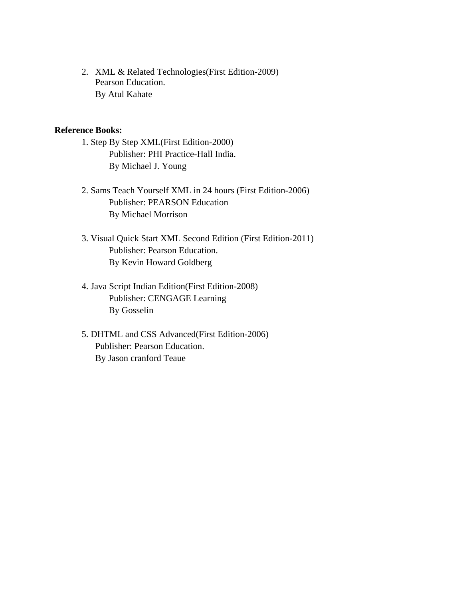2. XML & Related Technologies(First Edition-2009) Pearson Education. By Atul Kahate

#### **Reference Books:**

- 1. Step By Step XML(First Edition-2000) Publisher: PHI Practice-Hall India. By Michael J. Young
- 2. Sams Teach Yourself XML in 24 hours (First Edition-2006) Publisher: PEARSON Education By Michael Morrison
- 3. Visual Quick Start XML Second Edition (First Edition-2011) Publisher: Pearson Education. By Kevin Howard Goldberg
- 4. Java Script Indian Edition(First Edition-2008) Publisher: CENGAGE Learning By Gosselin
- 5. DHTML and CSS Advanced(First Edition-2006) Publisher: Pearson Education. By Jason cranford Teaue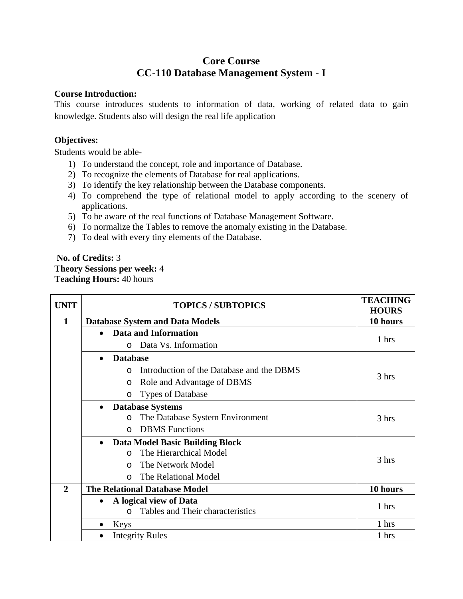# **Core Course CC-110 Database Management System - I**

#### **Course Introduction:**

This course introduces students to information of data, working of related data to gain knowledge. Students also will design the real life application

### **Objectives:**

Students would be able-

- 1) To understand the concept, role and importance of Database.
- 2) To recognize the elements of Database for real applications.
- 3) To identify the key relationship between the Database components.
- 4) To comprehend the type of relational model to apply according to the scenery of applications.
- 5) To be aware of the real functions of Database Management Software.
- 6) To normalize the Tables to remove the anomaly existing in the Database.
- 7) To deal with every tiny elements of the Database.

## **No. of Credits:** 3 **Theory Sessions per week:** 4 **Teaching Hours:** 40 hours

| <b>UNIT</b>  |           | <b>TOPICS / SUBTOPICS</b>                             | <b>TEACHING</b><br><b>HOURS</b> |
|--------------|-----------|-------------------------------------------------------|---------------------------------|
| 1            |           | <b>Database System and Data Models</b>                | 10 hours                        |
|              | $\bullet$ | Data and Information                                  |                                 |
|              |           | Data Vs. Information<br>$\Omega$                      | 1 hrs                           |
|              | $\bullet$ | <b>Database</b>                                       |                                 |
|              |           | Introduction of the Database and the DBMS<br>$\Omega$ |                                 |
|              |           | Role and Advantage of DBMS<br>$\circ$                 | 3 hrs                           |
|              |           | <b>Types of Database</b><br>$\circ$                   |                                 |
|              | $\bullet$ | <b>Database Systems</b>                               |                                 |
|              |           | The Database System Environment<br>$\circ$            | 3 hrs                           |
|              |           | <b>DBMS</b> Functions<br>$\Omega$                     |                                 |
|              | $\bullet$ | Data Model Basic Building Block                       |                                 |
|              |           | The Hierarchical Model<br>$\Omega$                    | 3 hrs                           |
|              |           | The Network Model<br>$\Omega$                         |                                 |
|              |           | The Relational Model<br>$\Omega$                      |                                 |
| $\mathbf{2}$ |           | <b>The Relational Database Model</b>                  | 10 hours                        |
|              | $\bullet$ | A logical view of Data                                | 1 hrs                           |
|              |           | Tables and Their characteristics<br>$\Omega$          |                                 |
|              |           | Keys                                                  | 1 hrs                           |
|              | $\bullet$ | <b>Integrity Rules</b>                                | 1 hrs                           |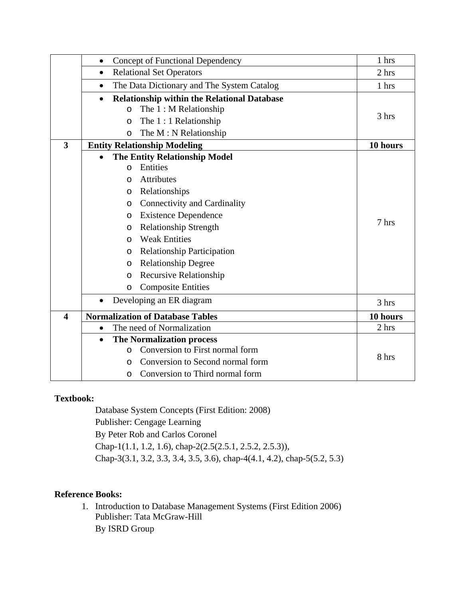|                         | Concept of Functional Dependency<br>$\bullet$                                                         | 1 hrs    |
|-------------------------|-------------------------------------------------------------------------------------------------------|----------|
|                         | <b>Relational Set Operators</b><br>$\bullet$                                                          | 2 hrs    |
|                         | The Data Dictionary and The System Catalog<br>$\bullet$                                               | 1 hrs    |
|                         | <b>Relationship within the Relational Database</b><br>$\bullet$<br>The $1: M$ Relationship<br>$\circ$ | 3 hrs    |
|                         | The $1:1$ Relationship<br>$\circ$                                                                     |          |
|                         | The M: N Relationship<br>O                                                                            |          |
| $\overline{\mathbf{3}}$ | <b>Entity Relationship Modeling</b>                                                                   | 10 hours |
|                         | <b>The Entity Relationship Model</b><br>$\bullet$<br>Entities<br>O                                    |          |
|                         | <b>Attributes</b><br>$\Omega$                                                                         |          |
|                         | Relationships<br>O                                                                                    |          |
|                         | Connectivity and Cardinality<br>O                                                                     |          |
|                         | <b>Existence Dependence</b><br>O                                                                      | 7 hrs    |
|                         | <b>Relationship Strength</b><br>$\circ$                                                               |          |
|                         | <b>Weak Entities</b><br>$\circ$                                                                       |          |
|                         | <b>Relationship Participation</b><br>$\circ$                                                          |          |
|                         | <b>Relationship Degree</b><br>O                                                                       |          |
|                         | <b>Recursive Relationship</b><br>$\circ$                                                              |          |
|                         | <b>Composite Entities</b><br>O                                                                        |          |
|                         | Developing an ER diagram<br>$\bullet$                                                                 | 3 hrs    |
| $\overline{\mathbf{4}}$ | <b>Normalization of Database Tables</b>                                                               | 10 hours |
|                         | The need of Normalization<br>$\bullet$                                                                | 2 hrs    |
|                         | <b>The Normalization process</b><br>$\bullet$                                                         |          |
|                         | Conversion to First normal form<br>$\Omega$                                                           | 8 hrs    |
|                         | Conversion to Second normal form<br>O                                                                 |          |
|                         | Conversion to Third normal form<br>O                                                                  |          |

#### **Textbook:**

Database System Concepts (First Edition: 2008) Publisher: Cengage Learning By Peter Rob and Carlos Coronel Chap-1(1.1, 1.2, 1.6), chap-2(2.5(2.5.1, 2.5.2, 2.5.3)), Chap-3(3.1, 3.2, 3.3, 3.4, 3.5, 3.6), chap-4(4.1, 4.2), chap-5(5.2, 5.3)

## **Reference Books:**

1. Introduction to Database Management Systems (First Edition 2006) Publisher: Tata McGraw-Hill By ISRD Group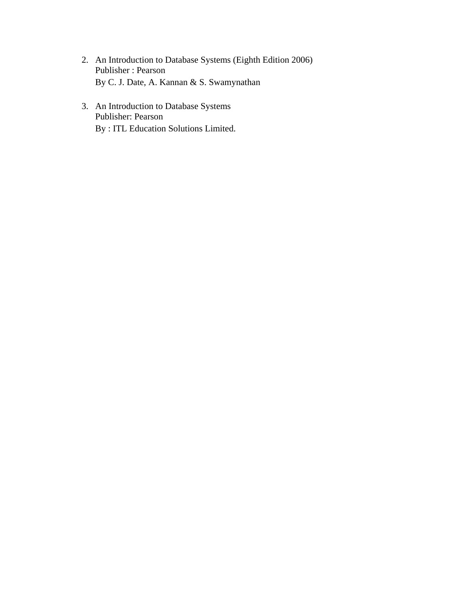- 2. An Introduction to Database Systems (Eighth Edition 2006) Publisher : Pearson By C. J. Date, A. Kannan & S. Swamynathan
- 3. An Introduction to Database Systems Publisher: Pearson By : ITL Education Solutions Limited.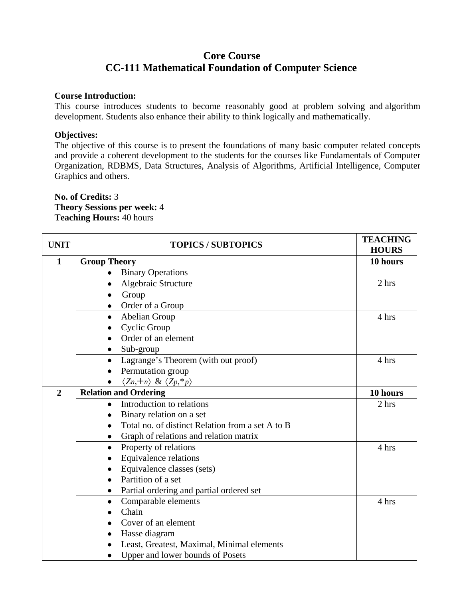## **Core Course CC-111 Mathematical Foundation of Computer Science**

#### **Course Introduction:**

This course introduces students to become reasonably good at problem solving and algorithm development. Students also enhance their ability to think logically and mathematically.

#### **Objectives:**

The objective of this course is to present the foundations of many basic computer related concepts and provide a coherent development to the students for the courses like Fundamentals of Computer Organization, RDBMS, Data Structures, Analysis of Algorithms, Artificial Intelligence, Computer Graphics and others.

#### **No. of Credits:** 3 **Theory Sessions per week:** 4 **Teaching Hours:** 40 hours

| <b>UNIT</b>    | <b>TOPICS / SUBTOPICS</b>                              | <b>TEACHING</b><br><b>HOURS</b> |
|----------------|--------------------------------------------------------|---------------------------------|
| $\mathbf{1}$   | <b>Group Theory</b>                                    | 10 hours                        |
|                | <b>Binary Operations</b>                               |                                 |
|                | Algebraic Structure                                    | 2 hrs                           |
|                | Group                                                  |                                 |
|                | Order of a Group<br>٠                                  |                                 |
|                | Abelian Group<br>$\bullet$                             | 4 hrs                           |
|                | Cyclic Group                                           |                                 |
|                | Order of an element                                    |                                 |
|                | Sub-group                                              |                                 |
|                | Lagrange's Theorem (with out proof)                    | 4 hrs                           |
|                | Permutation group                                      |                                 |
|                | $\langle Z_n, +_n \rangle \& \langle Z_p, *_p \rangle$ |                                 |
| $\overline{2}$ | <b>Relation and Ordering</b>                           | 10 hours                        |
|                | Introduction to relations<br>$\bullet$                 | 2 hrs                           |
|                | Binary relation on a set                               |                                 |
|                | Total no. of distinct Relation from a set A to B       |                                 |
|                | Graph of relations and relation matrix<br>٠            |                                 |
|                | Property of relations<br>$\bullet$                     | 4 hrs                           |
|                | Equivalence relations                                  |                                 |
|                | Equivalence classes (sets)                             |                                 |
|                | Partition of a set                                     |                                 |
|                | Partial ordering and partial ordered set<br>٠          |                                 |
|                | Comparable elements<br>$\bullet$                       | 4 hrs                           |
|                | Chain                                                  |                                 |
|                | Cover of an element                                    |                                 |
|                | Hasse diagram                                          |                                 |
|                | Least, Greatest, Maximal, Minimal elements             |                                 |
|                | Upper and lower bounds of Posets                       |                                 |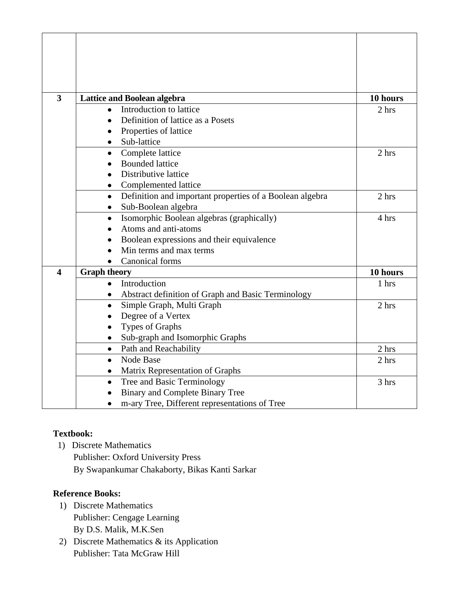| $\overline{\mathbf{3}}$ | <b>Lattice and Boolean algebra</b>                            | 10 hours |
|-------------------------|---------------------------------------------------------------|----------|
|                         | Introduction to lattice                                       | 2 hrs    |
|                         | Definition of lattice as a Posets                             |          |
|                         | Properties of lattice                                         |          |
|                         | Sub-lattice<br>٠                                              |          |
|                         | Complete lattice<br>$\bullet$                                 | 2 hrs    |
|                         | <b>Bounded lattice</b>                                        |          |
|                         | Distributive lattice                                          |          |
|                         | Complemented lattice<br>٠                                     |          |
|                         | Definition and important properties of a Boolean algebra<br>٠ | 2 hrs    |
|                         | Sub-Boolean algebra<br>$\bullet$                              |          |
|                         | Isomorphic Boolean algebras (graphically)<br>$\bullet$        | 4 hrs    |
|                         | Atoms and anti-atoms                                          |          |
|                         | Boolean expressions and their equivalence                     |          |
|                         | Min terms and max terms                                       |          |
|                         | <b>Canonical forms</b><br>$\bullet$                           |          |
| $\overline{\mathbf{4}}$ | <b>Graph theory</b>                                           | 10 hours |
|                         | Introduction<br>$\bullet$                                     | 1 hrs    |
|                         | Abstract definition of Graph and Basic Terminology<br>٠       |          |
|                         | Simple Graph, Multi Graph<br>٠                                | 2 hrs    |
|                         | Degree of a Vertex                                            |          |
|                         | Types of Graphs                                               |          |
|                         | Sub-graph and Isomorphic Graphs<br>$\bullet$                  |          |
|                         | Path and Reachability<br>$\bullet$                            | 2 hrs    |
|                         | Node Base<br>$\bullet$                                        | 2 hrs    |
|                         | Matrix Representation of Graphs<br>٠                          |          |
|                         | Tree and Basic Terminology<br>$\bullet$                       | 3 hrs    |
|                         | <b>Binary and Complete Binary Tree</b>                        |          |
|                         | m-ary Tree, Different representations of Tree                 |          |

# **Textbook:**

 1) Discrete Mathematics Publisher: Oxford University Press By Swapankumar Chakaborty, Bikas Kanti Sarkar

## **Reference Books:**

- 1) Discrete Mathematics Publisher: Cengage Learning By D.S. Malik, M.K.Sen
- 2) Discrete Mathematics & its Application Publisher: Tata McGraw Hill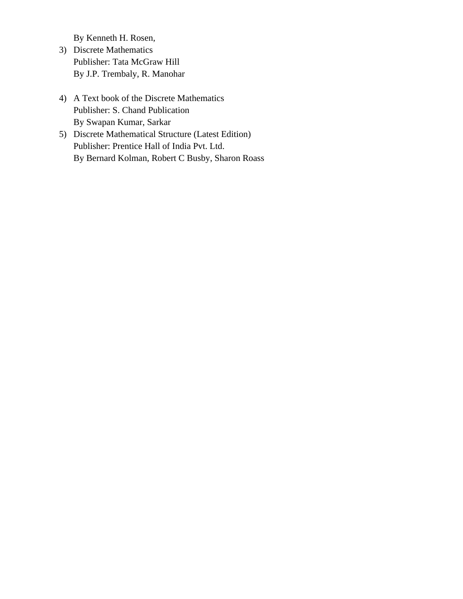By Kenneth H. Rosen,

- 3) Discrete Mathematics Publisher: Tata McGraw Hill By J.P. Trembaly, R. Manohar
- 4) A Text book of the Discrete Mathematics Publisher: S. Chand Publication By Swapan Kumar, Sarkar
- 5) Discrete Mathematical Structure (Latest Edition) Publisher: Prentice Hall of India Pvt. Ltd. By Bernard Kolman, Robert C Busby, Sharon Roass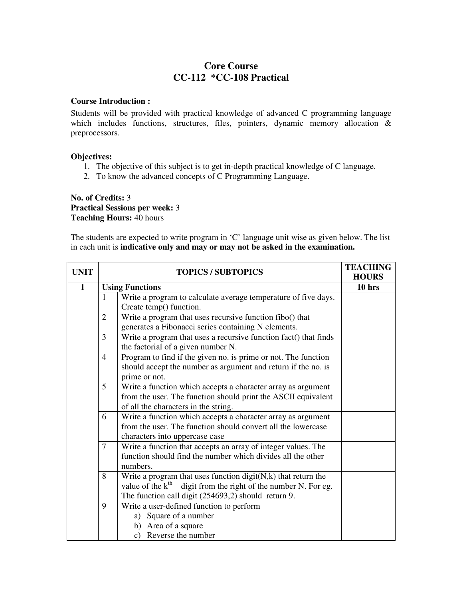## **Core Course CC-112 \*CC-108 Practical**

#### **Course Introduction :**

Students will be provided with practical knowledge of advanced C programming language which includes functions, structures, files, pointers, dynamic memory allocation & preprocessors.

#### **Objectives:**

- 1. The objective of this subject is to get in-depth practical knowledge of C language.
- 2. To know the advanced concepts of C Programming Language.

#### **No. of Credits:** 3 **Practical Sessions per week:** 3 **Teaching Hours:** 40 hours

The students are expected to write program in 'C' language unit wise as given below. The list in each unit is **indicative only and may or may not be asked in the examination.** 

| <b>UNIT</b>  | <b>TOPICS / SUBTOPICS</b>                                                                                                                                                                                     | <b>TEACHING</b><br><b>HOURS</b> |
|--------------|---------------------------------------------------------------------------------------------------------------------------------------------------------------------------------------------------------------|---------------------------------|
| $\mathbf{1}$ | <b>Using Functions</b>                                                                                                                                                                                        | 10 <sub>hrs</sub>               |
|              | Write a program to calculate average temperature of five days.<br>$\mathbf{1}$<br>Create temp() function.                                                                                                     |                                 |
|              | Write a program that uses recursive function fibo() that<br>$\overline{2}$<br>generates a Fibonacci series containing N elements.                                                                             |                                 |
|              | Write a program that uses a recursive function fact() that finds<br>3<br>the factorial of a given number N.                                                                                                   |                                 |
|              | Program to find if the given no. is prime or not. The function<br>$\overline{4}$<br>should accept the number as argument and return if the no. is<br>prime or not.                                            |                                 |
|              | 5<br>Write a function which accepts a character array as argument<br>from the user. The function should print the ASCII equivalent<br>of all the characters in the string.                                    |                                 |
|              | Write a function which accepts a character array as argument<br>6<br>from the user. The function should convert all the lowercase<br>characters into uppercase case                                           |                                 |
|              | Write a function that accepts an array of integer values. The<br>7<br>function should find the number which divides all the other<br>numbers.                                                                 |                                 |
|              | Write a program that uses function $\text{digit}(N, k)$ that return the<br>8<br>value of the $k^{th}$<br>digit from the right of the number N. For eg.<br>The function call digit (254693,2) should return 9. |                                 |
|              | Write a user-defined function to perform<br>9<br>a) Square of a number<br>b) Area of a square<br>c) Reverse the number                                                                                        |                                 |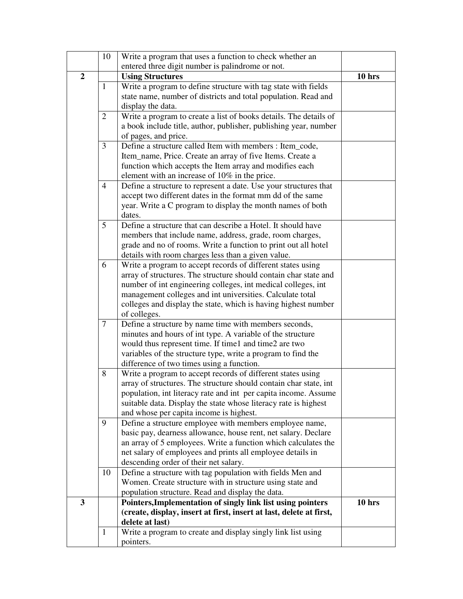|                | 10             | Write a program that uses a function to check whether an                                                                     |          |
|----------------|----------------|------------------------------------------------------------------------------------------------------------------------------|----------|
|                |                | entered three digit number is palindrome or not.                                                                             |          |
| $\overline{2}$ |                | <b>Using Structures</b>                                                                                                      | $10$ hrs |
|                | $\mathbf{1}$   | Write a program to define structure with tag state with fields                                                               |          |
|                |                | state name, number of districts and total population. Read and                                                               |          |
|                |                | display the data.                                                                                                            |          |
|                | $\overline{2}$ | Write a program to create a list of books details. The details of                                                            |          |
|                |                | a book include title, author, publisher, publishing year, number                                                             |          |
|                |                | of pages, and price.                                                                                                         |          |
|                | 3              | Define a structure called Item with members : Item_code,                                                                     |          |
|                |                | Item_name, Price. Create an array of five Items. Create a                                                                    |          |
|                |                | function which accepts the Item array and modifies each                                                                      |          |
|                |                | element with an increase of 10% in the price.                                                                                |          |
|                | $\overline{4}$ | Define a structure to represent a date. Use your structures that                                                             |          |
|                |                | accept two different dates in the format mm dd of the same                                                                   |          |
|                |                | year. Write a C program to display the month names of both                                                                   |          |
|                |                | dates.                                                                                                                       |          |
|                | 5              | Define a structure that can describe a Hotel. It should have                                                                 |          |
|                |                | members that include name, address, grade, room charges,                                                                     |          |
|                |                | grade and no of rooms. Write a function to print out all hotel<br>details with room charges less than a given value.         |          |
|                | 6              | Write a program to accept records of different states using                                                                  |          |
|                |                | array of structures. The structure should contain char state and                                                             |          |
|                |                | number of int engineering colleges, int medical colleges, int                                                                |          |
|                |                | management colleges and int universities. Calculate total                                                                    |          |
|                |                | colleges and display the state, which is having highest number                                                               |          |
|                |                | of colleges.                                                                                                                 |          |
|                | 7              | Define a structure by name time with members seconds,                                                                        |          |
|                |                | minutes and hours of int type. A variable of the structure                                                                   |          |
|                |                | would thus represent time. If time1 and time2 are two                                                                        |          |
|                |                | variables of the structure type, write a program to find the                                                                 |          |
|                |                | difference of two times using a function.                                                                                    |          |
|                | 8              | Write a program to accept records of different states using                                                                  |          |
|                |                | array of structures. The structure should contain char state, int                                                            |          |
|                |                | population, int literacy rate and int per capita income. Assume                                                              |          |
|                |                | suitable data. Display the state whose literacy rate is highest                                                              |          |
|                |                | and whose per capita income is highest.                                                                                      |          |
|                | 9              | Define a structure employee with members employee name,                                                                      |          |
|                |                | basic pay, dearness allowance, house rent, net salary. Declare                                                               |          |
|                |                | an array of 5 employees. Write a function which calculates the<br>net salary of employees and prints all employee details in |          |
|                |                | descending order of their net salary.                                                                                        |          |
|                | 10             | Define a structure with tag population with fields Men and                                                                   |          |
|                |                | Women. Create structure with in structure using state and                                                                    |          |
|                |                | population structure. Read and display the data.                                                                             |          |
| 3              |                | Pointers, Implementation of singly link list using pointers                                                                  | $10$ hrs |
|                |                | (create, display, insert at first, insert at last, delete at first,                                                          |          |
|                |                | delete at last)                                                                                                              |          |
|                | $\mathbf{1}$   | Write a program to create and display singly link list using                                                                 |          |
|                |                | pointers.                                                                                                                    |          |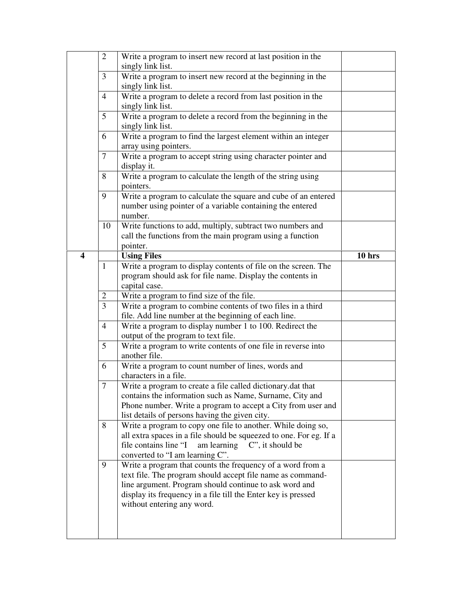|                         | $\overline{2}$ | Write a program to insert new record at last position in the                           |          |
|-------------------------|----------------|----------------------------------------------------------------------------------------|----------|
|                         |                | singly link list.                                                                      |          |
|                         | 3              | Write a program to insert new record at the beginning in the<br>singly link list.      |          |
|                         | $\overline{4}$ | Write a program to delete a record from last position in the                           |          |
|                         |                | singly link list.                                                                      |          |
|                         | 5              | Write a program to delete a record from the beginning in the                           |          |
|                         |                | singly link list.                                                                      |          |
|                         | 6              | Write a program to find the largest element within an integer<br>array using pointers. |          |
|                         | 7              |                                                                                        |          |
|                         |                | Write a program to accept string using character pointer and<br>display it.            |          |
|                         | 8              | Write a program to calculate the length of the string using                            |          |
|                         |                | pointers.                                                                              |          |
|                         | 9              | Write a program to calculate the square and cube of an entered                         |          |
|                         |                | number using pointer of a variable containing the entered                              |          |
|                         |                | number.                                                                                |          |
|                         | 10             | Write functions to add, multiply, subtract two numbers and                             |          |
|                         |                | call the functions from the main program using a function                              |          |
|                         |                | pointer.                                                                               |          |
| $\overline{\mathbf{4}}$ |                | <b>Using Files</b>                                                                     | $10$ hrs |
|                         | $\mathbf{1}$   | Write a program to display contents of file on the screen. The                         |          |
|                         |                | program should ask for file name. Display the contents in                              |          |
|                         |                | capital case.                                                                          |          |
|                         | 2              | Write a program to find size of the file.                                              |          |
|                         | 3              | Write a program to combine contents of two files in a third                            |          |
|                         |                | file. Add line number at the beginning of each line.                                   |          |
|                         | $\overline{4}$ | Write a program to display number 1 to 100. Redirect the                               |          |
|                         |                | output of the program to text file.                                                    |          |
|                         | 5              | Write a program to write contents of one file in reverse into                          |          |
|                         |                | another file.                                                                          |          |
|                         | 6              | Write a program to count number of lines, words and                                    |          |
|                         |                | characters in a file.                                                                  |          |
|                         | $\overline{7}$ | Write a program to create a file called dictionary.dat that                            |          |
|                         |                | contains the information such as Name, Surname, City and                               |          |
|                         |                | Phone number. Write a program to accept a City from user and                           |          |
|                         |                | list details of persons having the given city.                                         |          |
|                         | 8              | Write a program to copy one file to another. While doing so,                           |          |
|                         |                | all extra spaces in a file should be squeezed to one. For eg. If a                     |          |
|                         |                | am learning $C$ ", it should be<br>file contains line "I                               |          |
|                         |                | converted to "I am learning C".                                                        |          |
|                         | 9              | Write a program that counts the frequency of a word from a                             |          |
|                         |                | text file. The program should accept file name as command-                             |          |
|                         |                | line argument. Program should continue to ask word and                                 |          |
|                         |                | display its frequency in a file till the Enter key is pressed                          |          |
|                         |                | without entering any word.                                                             |          |
|                         |                |                                                                                        |          |
|                         |                |                                                                                        |          |
|                         |                |                                                                                        |          |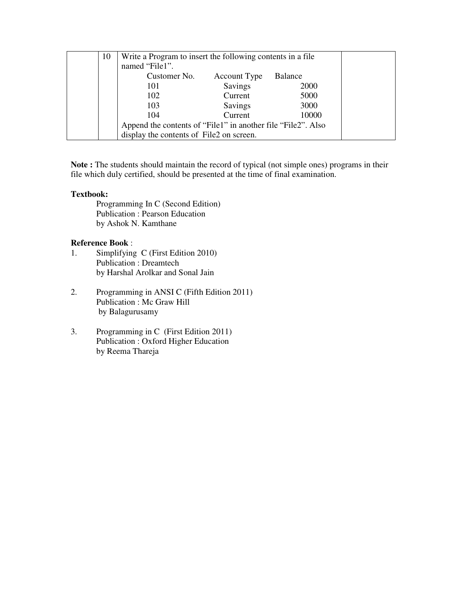| 10 | Write a Program to insert the following contents in a file.<br>named "File1". |                |         |  |
|----|-------------------------------------------------------------------------------|----------------|---------|--|
|    | Customer No.                                                                  | Account Type   | Balance |  |
|    | 101                                                                           | <b>Savings</b> | 2000    |  |
|    | 102                                                                           | Current        | 5000    |  |
|    | 103                                                                           | Savings        | 3000    |  |
|    | 104                                                                           | Current        | 10000   |  |
|    | Append the contents of "File1" in another file "File2". Also                  |                |         |  |
|    | display the contents of File2 on screen.                                      |                |         |  |

**Note :** The students should maintain the record of typical (not simple ones) programs in their file which duly certified, should be presented at the time of final examination.

#### **Textbook:**

Programming In C (Second Edition) Publication : Pearson Education by Ashok N. Kamthane

#### **Reference Book** :

- 1. Simplifying C (First Edition 2010) Publication : Dreamtech by Harshal Arolkar and Sonal Jain
- 2. Programming in ANSI C (Fifth Edition 2011) Publication : Mc Graw Hill by Balagurusamy
- 3. Programming in C (First Edition 2011) Publication : Oxford Higher Education by Reema Thareja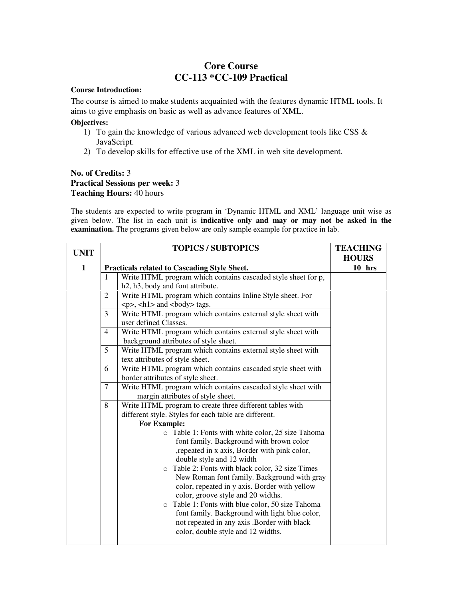## **Core Course CC-113 \*CC-109 Practical**

#### **Course Introduction:**

The course is aimed to make students acquainted with the features dynamic HTML tools. It aims to give emphasis on basic as well as advance features of XML.

#### **Objectives:**

- 1) To gain the knowledge of various advanced web development tools like CSS & JavaScript.
- 2) To develop skills for effective use of the XML in web site development.

#### **No. of Credits:** 3 **Practical Sessions per week:** 3 **Teaching Hours:** 40 hours

The students are expected to write program in 'Dynamic HTML and XML' language unit wise as given below. The list in each unit is **indicative only and may or may not be asked in the examination.** The programs given below are only sample example for practice in lab.

| <b>UNIT</b>  | <b>TOPICS / SUBTOPICS</b>                                                                                              |                                                                                                  | <b>TEACHING</b> |
|--------------|------------------------------------------------------------------------------------------------------------------------|--------------------------------------------------------------------------------------------------|-----------------|
| $\mathbf{1}$ |                                                                                                                        |                                                                                                  | <b>HOURS</b>    |
|              | $\mathbf{1}$                                                                                                           | Practicals related to Cascading Style Sheet.                                                     | $10$ hrs        |
|              |                                                                                                                        | Write HTML program which contains cascaded style sheet for p,                                    |                 |
|              |                                                                                                                        | h2, h3, body and font attribute.                                                                 |                 |
|              | 2                                                                                                                      | Write HTML program which contains Inline Style sheet. For                                        |                 |
|              |                                                                                                                        | <p>, <h1> and <br/>body&gt; tags.</h1></p>                                                       |                 |
|              | 3                                                                                                                      | Write HTML program which contains external style sheet with                                      |                 |
|              |                                                                                                                        | user defined Classes.                                                                            |                 |
|              | 4                                                                                                                      | Write HTML program which contains external style sheet with                                      |                 |
|              |                                                                                                                        | background attributes of style sheet.                                                            |                 |
|              | 5                                                                                                                      | Write HTML program which contains external style sheet with                                      |                 |
|              |                                                                                                                        | text attributes of style sheet.                                                                  |                 |
|              | 6                                                                                                                      | Write HTML program which contains cascaded style sheet with<br>border attributes of style sheet. |                 |
|              |                                                                                                                        |                                                                                                  |                 |
|              | $\tau$                                                                                                                 |                                                                                                  |                 |
|              |                                                                                                                        | margin attributes of style sheet.                                                                |                 |
|              | 8<br>Write HTML program to create three different tables with<br>different style. Styles for each table are different. |                                                                                                  |                 |
|              |                                                                                                                        |                                                                                                  |                 |
|              |                                                                                                                        | <b>For Example:</b>                                                                              |                 |
|              |                                                                                                                        | o Table 1: Fonts with white color, 25 size Tahoma                                                |                 |
|              |                                                                                                                        | font family. Background with brown color                                                         |                 |
|              |                                                                                                                        | , repeated in x axis, Border with pink color,                                                    |                 |
|              |                                                                                                                        | double style and 12 width                                                                        |                 |
|              |                                                                                                                        | o Table 2: Fonts with black color, 32 size Times                                                 |                 |
|              |                                                                                                                        | New Roman font family. Background with gray                                                      |                 |
|              |                                                                                                                        | color, repeated in y axis. Border with yellow                                                    |                 |
|              |                                                                                                                        | color, groove style and 20 widths.                                                               |                 |
|              |                                                                                                                        | o Table 1: Fonts with blue color, 50 size Tahoma                                                 |                 |
|              |                                                                                                                        | font family. Background with light blue color,                                                   |                 |
|              |                                                                                                                        | not repeated in any axis .Border with black                                                      |                 |
|              |                                                                                                                        | color, double style and 12 widths.                                                               |                 |
|              |                                                                                                                        |                                                                                                  |                 |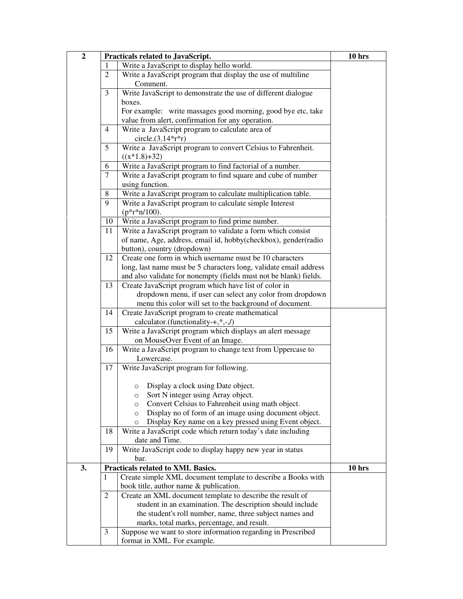| $\overline{2}$ | Practicals related to JavaScript. | 10 hrs                                                                                                               |          |
|----------------|-----------------------------------|----------------------------------------------------------------------------------------------------------------------|----------|
|                | T                                 | Write a JavaScript to display hello world.                                                                           |          |
|                | $\overline{2}$                    | Write a JavaScript program that display the use of multiline<br>Comment.                                             |          |
|                | 3                                 | Write JavaScript to demonstrate the use of different dialogue                                                        |          |
|                |                                   | boxes.                                                                                                               |          |
|                |                                   | For example: write massages good morning, good bye etc, take                                                         |          |
|                |                                   | value from alert, confirmation for any operation.                                                                    |          |
|                | 4                                 | Write a JavaScript program to calculate area of                                                                      |          |
|                |                                   | circle. $(3.14*rr)$                                                                                                  |          |
|                | 5                                 | Write a JavaScript program to convert Celsius to Fahrenheit.                                                         |          |
|                |                                   | $((x*1.8)+32)$                                                                                                       |          |
|                | 6                                 | Write a JavaScript program to find factorial of a number.                                                            |          |
|                | $\tau$                            | Write a JavaScript program to find square and cube of number                                                         |          |
|                |                                   | using function.                                                                                                      |          |
|                | 8                                 | Write a JavaScript program to calculate multiplication table.                                                        |          |
|                | 9                                 | Write a JavaScript program to calculate simple Interest                                                              |          |
|                |                                   | $(p*r*n/100)$ .                                                                                                      |          |
|                | 10                                | Write a JavaScript program to find prime number.                                                                     |          |
|                | 11                                | Write a JavaScript program to validate a form which consist                                                          |          |
|                |                                   | of name, Age, address, email id, hobby(checkbox), gender(radio                                                       |          |
|                |                                   | button), country (dropdown)                                                                                          |          |
|                | 12                                | Create one form in which username must be 10 characters                                                              |          |
|                |                                   | long, last name must be 5 characters long, validate email address                                                    |          |
|                |                                   | and also validate for nonempty (fields must not be blank) fields.                                                    |          |
|                | 13                                | Create JavaScript program which have list of color in                                                                |          |
|                |                                   | dropdown menu, if user can select any color from dropdown                                                            |          |
|                | 14                                | menu this color will set to the background of document.                                                              |          |
|                |                                   | Create JavaScript program to create mathematical<br>calculator.(functionality-+,*,-,/)                               |          |
|                | 15                                | Write a JavaScript program which displays an alert message                                                           |          |
|                |                                   | on MouseOver Event of an Image.                                                                                      |          |
|                | 16                                | Write a JavaScript program to change text from Uppercase to                                                          |          |
|                |                                   | Lowercase.                                                                                                           |          |
|                | 17                                | Write JavaScript program for following.                                                                              |          |
|                |                                   |                                                                                                                      |          |
|                |                                   | Display a clock using Date object.<br>$\circ$                                                                        |          |
|                |                                   | Sort N integer using Array object.<br>O                                                                              |          |
|                |                                   | Convert Celsius to Fahrenheit using math object.<br>$\circ$<br>Display no of form of an image using document object. |          |
|                |                                   | $\circ$<br>Display Key name on a key pressed using Event object.<br>$\circ$                                          |          |
|                | 18                                | Write a JavaScript code which return today's date including                                                          |          |
|                |                                   | date and Time.                                                                                                       |          |
|                | 19                                | Write JavaScript code to display happy new year in status                                                            |          |
|                |                                   | bar.                                                                                                                 |          |
| 3.             |                                   | Practicals related to XML Basics.                                                                                    | $10$ hrs |
|                | 1                                 | Create simple XML document template to describe a Books with<br>book title, author name & publication.               |          |
|                | $\mathfrak{2}$                    | Create an XML document template to describe the result of                                                            |          |
|                |                                   | student in an examination. The description should include                                                            |          |
|                |                                   | the student's roll number, name, three subject names and                                                             |          |
|                |                                   | marks, total marks, percentage, and result.                                                                          |          |
|                | 3                                 | Suppose we want to store information regarding in Prescribed                                                         |          |
|                |                                   | format in XML. For example.                                                                                          |          |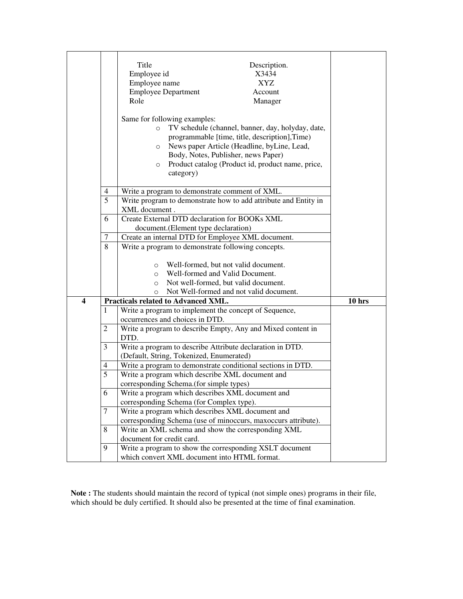|                  |        | Title<br>Description.<br>Employee id<br>X3434<br>Employee name<br>XYZ<br><b>Employee Department</b><br>Account<br>Role<br>Manager<br>Same for following examples:<br>TV schedule (channel, banner, day, holyday, date,<br>$\circ$<br>programmable [time, title, description], Time)<br>News paper Article (Headline, byLine, Lead,<br>$\circ$<br>Body, Notes, Publisher, news Paper)<br>Product catalog (Product id, product name, price,<br>$\circ$<br>category) |        |
|------------------|--------|-------------------------------------------------------------------------------------------------------------------------------------------------------------------------------------------------------------------------------------------------------------------------------------------------------------------------------------------------------------------------------------------------------------------------------------------------------------------|--------|
|                  | 4      | Write a program to demonstrate comment of XML.                                                                                                                                                                                                                                                                                                                                                                                                                    |        |
|                  | 5      | Write program to demonstrate how to add attribute and Entity in                                                                                                                                                                                                                                                                                                                                                                                                   |        |
|                  |        | XML document.                                                                                                                                                                                                                                                                                                                                                                                                                                                     |        |
|                  | 6      | Create External DTD declaration for BOOKs XML                                                                                                                                                                                                                                                                                                                                                                                                                     |        |
|                  |        | document. (Element type declaration)                                                                                                                                                                                                                                                                                                                                                                                                                              |        |
|                  | $\tau$ | Create an internal DTD for Employee XML document.                                                                                                                                                                                                                                                                                                                                                                                                                 |        |
|                  | 8      | Write a program to demonstrate following concepts.<br>Well-formed, but not valid document.<br>$\circ$<br>Well-formed and Valid Document.<br>$\circ$<br>Not well-formed, but valid document.<br>$\circ$<br>Not Well-formed and not valid document.<br>$\circ$                                                                                                                                                                                                      |        |
| $\boldsymbol{4}$ |        | Practicals related to Advanced XML.                                                                                                                                                                                                                                                                                                                                                                                                                               | 10 hrs |
|                  | 1      | Write a program to implement the concept of Sequence,<br>occurrences and choices in DTD.                                                                                                                                                                                                                                                                                                                                                                          |        |
|                  | 2      | Write a program to describe Empty, Any and Mixed content in<br>DTD.                                                                                                                                                                                                                                                                                                                                                                                               |        |
|                  | 3      | Write a program to describe Attribute declaration in DTD.<br>(Default, String, Tokenized, Enumerated)                                                                                                                                                                                                                                                                                                                                                             |        |
|                  | 4      | Write a program to demonstrate conditional sections in DTD.                                                                                                                                                                                                                                                                                                                                                                                                       |        |
|                  | 5      | Write a program which describe XML document and                                                                                                                                                                                                                                                                                                                                                                                                                   |        |
|                  |        | corresponding Schema.(for simple types)                                                                                                                                                                                                                                                                                                                                                                                                                           |        |
|                  | 6      | Write a program which describes XML document and<br>corresponding Schema (for Complex type).                                                                                                                                                                                                                                                                                                                                                                      |        |
|                  | 7      | Write a program which describes XML document and                                                                                                                                                                                                                                                                                                                                                                                                                  |        |
|                  |        | corresponding Schema (use of minoccurs, maxoccurs attribute).                                                                                                                                                                                                                                                                                                                                                                                                     |        |
|                  | 8      | Write an XML schema and show the corresponding XML                                                                                                                                                                                                                                                                                                                                                                                                                |        |
|                  |        | document for credit card.                                                                                                                                                                                                                                                                                                                                                                                                                                         |        |
|                  | 9      | Write a program to show the corresponding XSLT document                                                                                                                                                                                                                                                                                                                                                                                                           |        |
|                  |        | which convert XML document into HTML format.                                                                                                                                                                                                                                                                                                                                                                                                                      |        |

**Note :** The students should maintain the record of typical (not simple ones) programs in their file, which should be duly certified. It should also be presented at the time of final examination.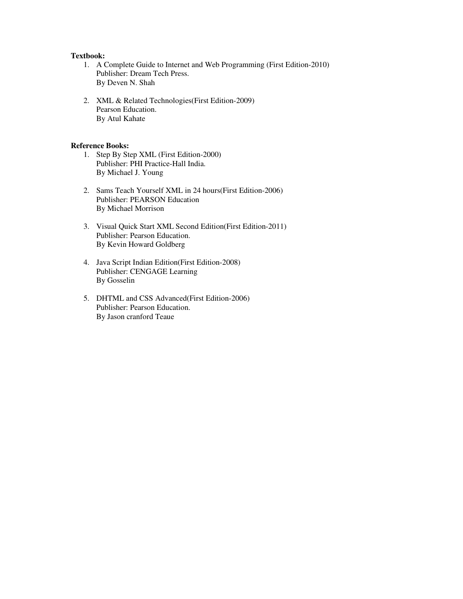#### **Textbook:**

- 1. A Complete Guide to Internet and Web Programming (First Edition-2010) Publisher: Dream Tech Press. By Deven N. Shah
- 2. XML & Related Technologies(First Edition-2009) Pearson Education. By Atul Kahate

#### **Reference Books:**

- 1. Step By Step XML (First Edition-2000) Publisher: PHI Practice-Hall India. By Michael J. Young
- 2. Sams Teach Yourself XML in 24 hours(First Edition-2006) Publisher: PEARSON Education By Michael Morrison
- 3. Visual Quick Start XML Second Edition(First Edition-2011) Publisher: Pearson Education. By Kevin Howard Goldberg
- 4. Java Script Indian Edition(First Edition-2008) Publisher: CENGAGE Learning By Gosselin
- 5. DHTML and CSS Advanced(First Edition-2006) Publisher: Pearson Education. By Jason cranford Teaue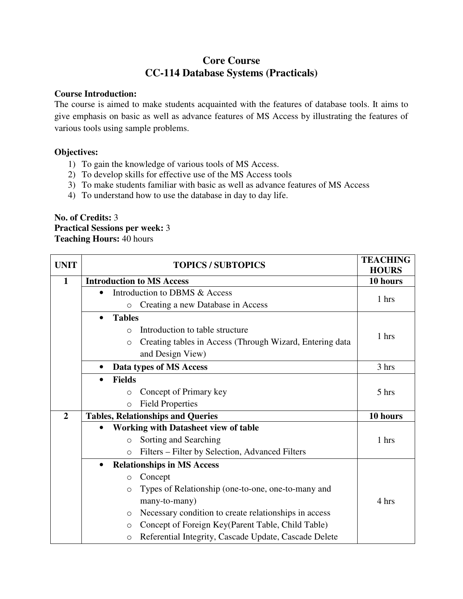# **Core Course CC-114 Database Systems (Practicals)**

#### **Course Introduction:**

The course is aimed to make students acquainted with the features of database tools. It aims to give emphasis on basic as well as advance features of MS Access by illustrating the features of various tools using sample problems.

#### **Objectives:**

- 1) To gain the knowledge of various tools of MS Access.
- 2) To develop skills for effective use of the MS Access tools
- 3) To make students familiar with basic as well as advance features of MS Access
- 4) To understand how to use the database in day to day life.

## **No. of Credits:** 3 **Practical Sessions per week:** 3 **Teaching Hours:** 40 hours

| <b>UNIT</b>    | <b>TOPICS / SUBTOPICS</b> |                                                                     | <b>TEACHING</b><br><b>HOURS</b> |
|----------------|---------------------------|---------------------------------------------------------------------|---------------------------------|
| $\mathbf{1}$   |                           | <b>Introduction to MS Access</b>                                    | 10 hours                        |
|                | $\bullet$                 | Introduction to DBMS & Access                                       | 1 hrs                           |
|                |                           | Creating a new Database in Access<br>$\circ$                        |                                 |
|                | $\bullet$                 | <b>Tables</b>                                                       |                                 |
|                |                           | Introduction to table structure<br>$\bigcirc$                       |                                 |
|                |                           | Creating tables in Access (Through Wizard, Entering data<br>$\circ$ | 1 hrs                           |
|                |                           | and Design View)                                                    |                                 |
|                | $\bullet$                 | Data types of MS Access                                             | 3 hrs                           |
|                | $\bullet$                 | <b>Fields</b>                                                       |                                 |
|                |                           | Concept of Primary key<br>$\circ$                                   | 5 hrs                           |
|                |                           | <b>Field Properties</b><br>$\circlearrowright$                      |                                 |
| $\overline{2}$ |                           | <b>Tables, Relationships and Queries</b>                            | 10 hours                        |
|                |                           | <b>Working with Datasheet view of table</b>                         |                                 |
|                |                           | Sorting and Searching<br>$\circ$                                    | 1 hrs                           |
|                |                           | Filters – Filter by Selection, Advanced Filters<br>$\circ$          |                                 |
|                | $\bullet$                 | <b>Relationships in MS Access</b>                                   |                                 |
|                |                           | Concept<br>$\circ$                                                  |                                 |
|                |                           | Types of Relationship (one-to-one, one-to-many and<br>$\circ$       |                                 |
|                |                           | many-to-many)                                                       | 4 hrs                           |
|                |                           | Necessary condition to create relationships in access<br>$\circ$    |                                 |
|                |                           | Concept of Foreign Key(Parent Table, Child Table)<br>$\circ$        |                                 |
|                |                           | Referential Integrity, Cascade Update, Cascade Delete<br>$\circ$    |                                 |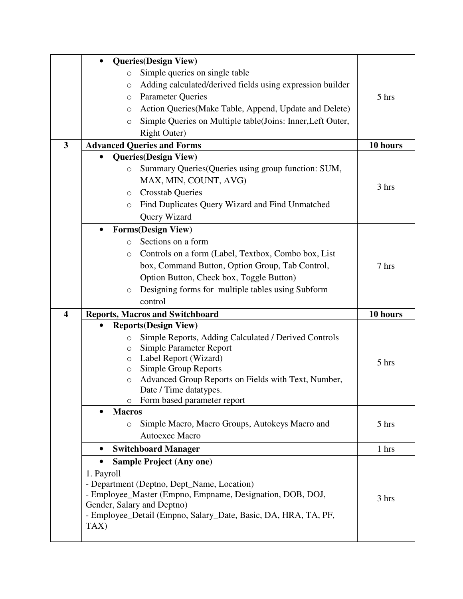|                         | <b>Queries</b> (Design View)<br>$\bullet$                         |          |
|-------------------------|-------------------------------------------------------------------|----------|
|                         | Simple queries on single table<br>$\circ$                         |          |
|                         | Adding calculated/derived fields using expression builder<br>O    |          |
|                         | <b>Parameter Queries</b><br>$\circ$                               | 5 hrs    |
|                         | Action Queries(Make Table, Append, Update and Delete)<br>O        |          |
|                         | Simple Queries on Multiple table(Joins: Inner, Left Outer,<br>O   |          |
|                         | <b>Right Outer)</b>                                               |          |
| 3                       | <b>Advanced Queries and Forms</b>                                 | 10 hours |
|                         | <b>Queries</b> (Design View)                                      |          |
|                         | Summary Queries (Queries using group function: SUM,<br>O          |          |
|                         | MAX, MIN, COUNT, AVG)                                             |          |
|                         | <b>Crosstab Queries</b><br>O                                      | 3 hrs    |
|                         | Find Duplicates Query Wizard and Find Unmatched<br>$\circ$        |          |
|                         | Query Wizard                                                      |          |
|                         | <b>Forms(Design View)</b><br>$\bullet$                            |          |
|                         | Sections on a form<br>$\circ$                                     |          |
|                         | Controls on a form (Label, Textbox, Combo box, List<br>O          |          |
|                         | box, Command Button, Option Group, Tab Control,                   | 7 hrs    |
|                         | Option Button, Check box, Toggle Button)                          |          |
|                         | Designing forms for multiple tables using Subform<br>$\circ$      |          |
|                         | control                                                           |          |
| $\overline{\mathbf{4}}$ | <b>Reports, Macros and Switchboard</b>                            | 10 hours |
|                         | <b>Reports</b> (Design View)                                      |          |
|                         | Simple Reports, Adding Calculated / Derived Controls<br>$\circ$   |          |
|                         | Simple Parameter Report<br>О                                      |          |
|                         | Label Report (Wizard)<br>O                                        | 5 hrs    |
|                         | Simple Group Reports<br>$\circ$                                   |          |
|                         | Advanced Group Reports on Fields with Text, Number,<br>$\bigcirc$ |          |
|                         | Date / Time datatypes.                                            |          |
|                         | Form based parameter report<br>$\circ$                            |          |
|                         | <b>Macros</b><br>Simple Macro, Macro Groups, Autokeys Macro and   | 5 hrs    |
|                         | $\circ$<br>Autoexec Macro                                         |          |
|                         |                                                                   |          |
|                         | <b>Switchboard Manager</b>                                        | 1 hrs    |
|                         | <b>Sample Project (Any one)</b><br>$\bullet$                      |          |
|                         | 1. Payroll<br>- Department (Deptno, Dept_Name, Location)          |          |
|                         | - Employee_Master (Empno, Empname, Designation, DOB, DOJ,         |          |
|                         | Gender, Salary and Deptno)                                        | 3 hrs    |
|                         | - Employee_Detail (Empno, Salary_Date, Basic, DA, HRA, TA, PF,    |          |
|                         | TAX)                                                              |          |
|                         |                                                                   |          |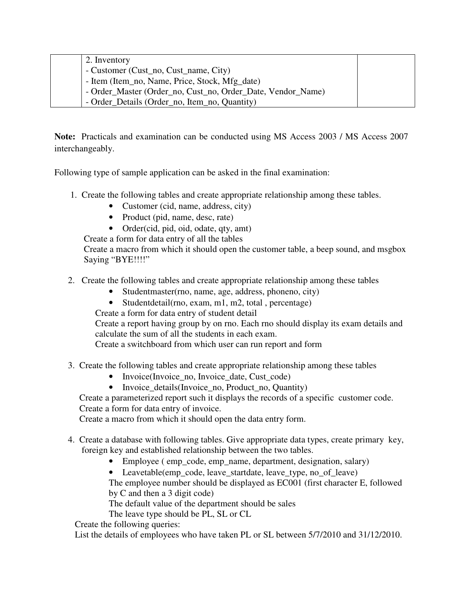| 2. Inventory                                                |  |
|-------------------------------------------------------------|--|
| - Customer (Cust_no, Cust_name, City)                       |  |
| - Item (Item_no, Name, Price, Stock, Mfg_date)              |  |
| - Order_Master (Order_no, Cust_no, Order_Date, Vendor_Name) |  |
| - Order_Details (Order_no, Item_no, Quantity)               |  |

**Note:** Practicals and examination can be conducted using MS Access 2003 / MS Access 2007 interchangeably.

Following type of sample application can be asked in the final examination:

- 1. Create the following tables and create appropriate relationship among these tables.
	- Customer (cid, name, address, city)
	- Product (pid, name, desc, rate)
	- Order(cid, pid, oid, odate, qty, amt)

Create a form for data entry of all the tables

 Create a macro from which it should open the customer table, a beep sound, and msgbox Saying "BYE!!!!"

- 2. Create the following tables and create appropriate relationship among these tables
	- Studentmaster(rno, name, age, address, phoneno, city)
	- Student detail (rno, exam, m1, m2, total, percentage)

Create a form for data entry of student detail

Create a report having group by on rno. Each rno should display its exam details and calculate the sum of all the students in each exam.

Create a switchboard from which user can run report and form

- 3. Create the following tables and create appropriate relationship among these tables
	- Invoice(Invoice no, Invoice date, Cust code)
	- Invoice details(Invoice no, Product\_no, Quantity)

 Create a parameterized report such it displays the records of a specific customer code. Create a form for data entry of invoice.

Create a macro from which it should open the data entry form.

- 4. Create a database with following tables. Give appropriate data types, create primary key, foreign key and established relationship between the two tables.
	- Employee ( emp\_code, emp\_name, department, designation, salary)

• Leavetable(emp\_code, leave\_startdate, leave\_type, no\_of\_leave)

The employee number should be displayed as EC001 (first character E, followed by C and then a 3 digit code)

The default value of the department should be sales

The leave type should be PL, SL or CL

Create the following queries:

List the details of employees who have taken PL or SL between 5/7/2010 and 31/12/2010.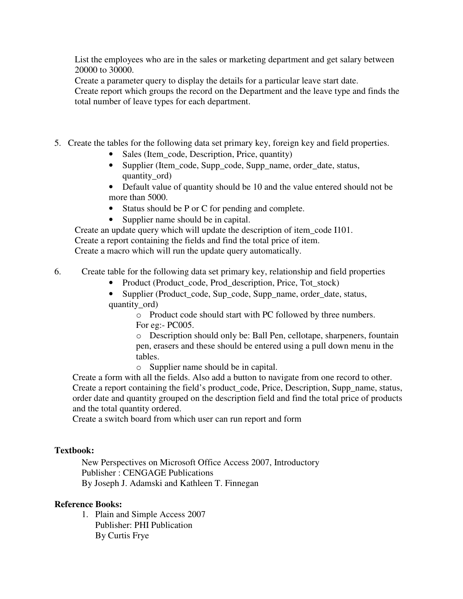List the employees who are in the sales or marketing department and get salary between 20000 to 30000.

Create a parameter query to display the details for a particular leave start date.

Create report which groups the record on the Department and the leave type and finds the total number of leave types for each department.

- 5. Create the tables for the following data set primary key, foreign key and field properties.
	- Sales (Item code, Description, Price, quantity)
	- Supplier (Item\_code, Supp\_code, Supp\_name, order\_date, status, quantity ord)
	- Default value of quantity should be 10 and the value entered should not be more than 5000.
	- Status should be P or C for pending and complete.
	- Supplier name should be in capital.

Create an update query which will update the description of item\_code I101. Create a report containing the fields and find the total price of item. Create a macro which will run the update query automatically.

6. Create table for the following data set primary key, relationship and field properties

- Product (Product\_code, Prod\_description, Price, Tot\_stock)
- Supplier (Product\_code, Sup\_code, Supp\_name, order\_date, status, quantity\_ord)

o Product code should start with PC followed by three numbers. For eg:- PC005.

o Description should only be: Ball Pen, cellotape, sharpeners, fountain pen, erasers and these should be entered using a pull down menu in the tables.

o Supplier name should be in capital.

Create a form with all the fields. Also add a button to navigate from one record to other. Create a report containing the field's product code, Price, Description, Supp\_name, status, order date and quantity grouped on the description field and find the total price of products and the total quantity ordered.

Create a switch board from which user can run report and form

## **Textbook:**

New Perspectives on Microsoft Office Access 2007, Introductory Publisher : CENGAGE Publications By Joseph J. Adamski and Kathleen T. Finnegan

## **Reference Books:**

1. Plain and Simple Access 2007 Publisher: PHI Publication By Curtis Frye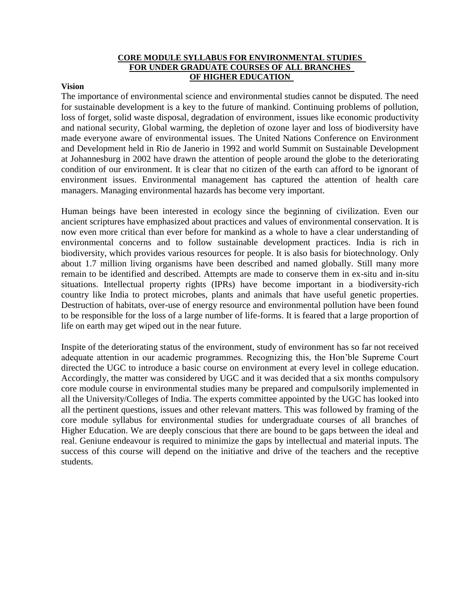#### **CORE MODULE SYLLABUS FOR ENVIRONMENTAL STUDIES FOR UNDER GRADUATE COURSES OF ALL BRANCHES OF HIGHER EDUCATION**

#### **Vision**

The importance of environmental science and environmental studies cannot be disputed. The need for sustainable development is a key to the future of mankind. Continuing problems of pollution, loss of forget, solid waste disposal, degradation of environment, issues like economic productivity and national security, Global warming, the depletion of ozone layer and loss of biodiversity have made everyone aware of environmental issues. The United Nations Conference on Environment and Development held in Rio de Janerio in 1992 and world Summit on Sustainable Development at Johannesburg in 2002 have drawn the attention of people around the globe to the deteriorating condition of our environment. It is clear that no citizen of the earth can afford to be ignorant of environment issues. Environmental management has captured the attention of health care managers. Managing environmental hazards has become very important.

Human beings have been interested in ecology since the beginning of civilization. Even our ancient scriptures have emphasized about practices and values of environmental conservation. It is now even more critical than ever before for mankind as a whole to have a clear understanding of environmental concerns and to follow sustainable development practices. India is rich in biodiversity, which provides various resources for people. It is also basis for biotechnology. Only about 1.7 million living organisms have been described and named globally. Still many more remain to be identified and described. Attempts are made to conserve them in ex-situ and in-situ situations. Intellectual property rights (IPRs) have become important in a biodiversity-rich country like India to protect microbes, plants and animals that have useful genetic properties. Destruction of habitats, over-use of energy resource and environmental pollution have been found to be responsible for the loss of a large number of life-forms. It is feared that a large proportion of life on earth may get wiped out in the near future.

Inspite of the deteriorating status of the environment, study of environment has so far not received adequate attention in our academic programmes. Recognizing this, the Hon'ble Supreme Court directed the UGC to introduce a basic course on environment at every level in college education. Accordingly, the matter was considered by UGC and it was decided that a six months compulsory core module course in environmental studies many be prepared and compulsorily implemented in all the University/Colleges of India. The experts committee appointed by the UGC has looked into all the pertinent questions, issues and other relevant matters. This was followed by framing of the core module syllabus for environmental studies for undergraduate courses of all branches of Higher Education. We are deeply conscious that there are bound to be gaps between the ideal and real. Geniune endeavour is required to minimize the gaps by intellectual and material inputs. The success of this course will depend on the initiative and drive of the teachers and the receptive students.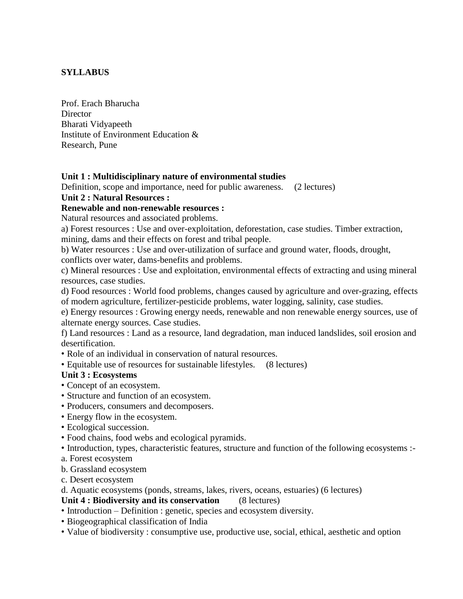## **SYLLABUS**

Prof. Erach Bharucha **Director** Bharati Vidyapeeth Institute of Environment Education & Research, Pune

## **Unit 1 : Multidisciplinary nature of environmental studies**

Definition, scope and importance, need for public awareness. (2 lectures)

## **Unit 2 : Natural Resources :**

#### **Renewable and non-renewable resources :**

Natural resources and associated problems.

a) Forest resources : Use and over-exploitation, deforestation, case studies. Timber extraction, mining, dams and their effects on forest and tribal people.

b) Water resources : Use and over-utilization of surface and ground water, floods, drought,

conflicts over water, dams-benefits and problems.

c) Mineral resources : Use and exploitation, environmental effects of extracting and using mineral resources, case studies.

d) Food resources : World food problems, changes caused by agriculture and over-grazing, effects of modern agriculture, fertilizer-pesticide problems, water logging, salinity, case studies.

e) Energy resources : Growing energy needs, renewable and non renewable energy sources, use of alternate energy sources. Case studies.

f) Land resources : Land as a resource, land degradation, man induced landslides, soil erosion and desertification.

- Role of an individual in conservation of natural resources.
- Equitable use of resources for sustainable lifestyles. (8 lectures)

## **Unit 3 : Ecosystems**

- Concept of an ecosystem.
- Structure and function of an ecosystem.
- Producers, consumers and decomposers.
- Energy flow in the ecosystem.
- Ecological succession.
- Food chains, food webs and ecological pyramids.
- Introduction, types, characteristic features, structure and function of the following ecosystems :-
- a. Forest ecosystem
- b. Grassland ecosystem
- c. Desert ecosystem

d. Aquatic ecosystems (ponds, streams, lakes, rivers, oceans, estuaries) (6 lectures)

#### **Unit 4 : Biodiversity and its conservation** (8 lectures)

- Introduction Definition : genetic, species and ecosystem diversity.
- Biogeographical classification of India
- Value of biodiversity : consumptive use, productive use, social, ethical, aesthetic and option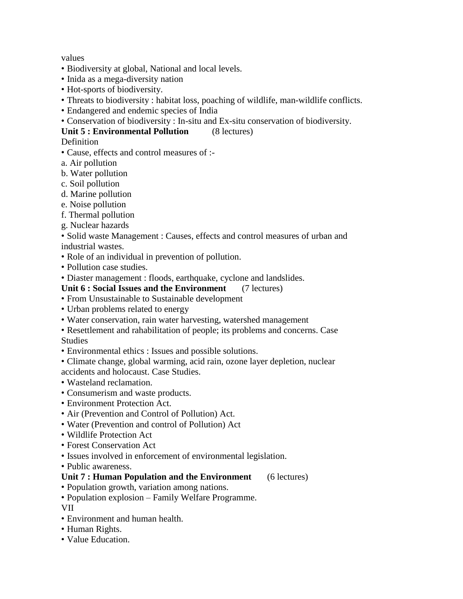values

- Biodiversity at global, National and local levels.
- Inida as a mega-diversity nation
- Hot-sports of biodiversity.
- Threats to biodiversity : habitat loss, poaching of wildlife, man-wildlife conflicts.
- Endangered and endemic species of India
- Conservation of biodiversity : In-situ and Ex-situ conservation of biodiversity.

### **Unit 5 : Environmental Pollution** (8 lectures)

#### **Definition**

- Cause, effects and control measures of :-
- a. Air pollution
- b. Water pollution
- c. Soil pollution
- d. Marine pollution
- e. Noise pollution
- f. Thermal pollution
- g. Nuclear hazards

#### • Solid waste Management : Causes, effects and control measures of urban and industrial wastes.

- Role of an individual in prevention of pollution.
- Pollution case studies.
- Diaster management : floods, earthquake, cyclone and landslides.

#### **Unit 6 : Social Issues and the Environment** (7 lectures)

- From Unsustainable to Sustainable development
- Urban problems related to energy
- Water conservation, rain water harvesting, watershed management
- Resettlement and rahabilitation of people; its problems and concerns. Case Studies
- Environmental ethics : Issues and possible solutions.
- Climate change, global warming, acid rain, ozone layer depletion, nuclear accidents and holocaust. Case Studies.
- Wasteland reclamation.
- Consumerism and waste products.
- Environment Protection Act.
- Air (Prevention and Control of Pollution) Act.
- Water (Prevention and control of Pollution) Act
- Wildlife Protection Act
- Forest Conservation Act
- Issues involved in enforcement of environmental legislation.
- Public awareness.

#### **Unit 7 : Human Population and the Environment** (6 lectures)

- Population growth, variation among nations.
- Population explosion Family Welfare Programme.

VII

- Environment and human health.
- Human Rights.
- Value Education.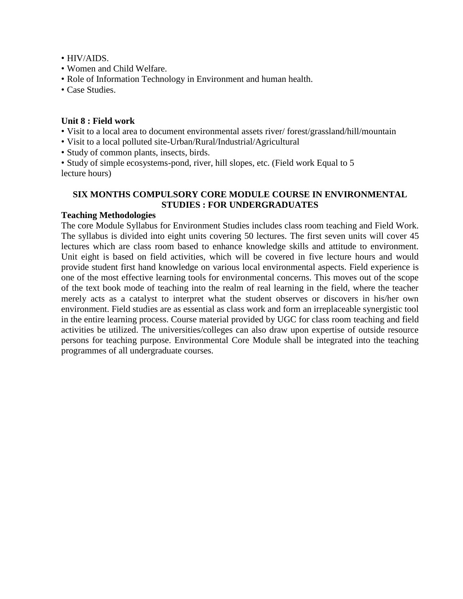- HIV/AIDS.
- Women and Child Welfare.
- Role of Information Technology in Environment and human health.
- Case Studies.

#### **Unit 8 : Field work**

- Visit to a local area to document environmental assets river/ forest/grassland/hill/mountain
- Visit to a local polluted site-Urban/Rural/Industrial/Agricultural
- Study of common plants, insects, birds.

• Study of simple ecosystems-pond, river, hill slopes, etc. (Field work Equal to 5 lecture hours)

### **SIX MONTHS COMPULSORY CORE MODULE COURSE IN ENVIRONMENTAL STUDIES : FOR UNDERGRADUATES**

#### **Teaching Methodologies**

The core Module Syllabus for Environment Studies includes class room teaching and Field Work. The syllabus is divided into eight units covering 50 lectures. The first seven units will cover 45 lectures which are class room based to enhance knowledge skills and attitude to environment. Unit eight is based on field activities, which will be covered in five lecture hours and would provide student first hand knowledge on various local environmental aspects. Field experience is one of the most effective learning tools for environmental concerns. This moves out of the scope of the text book mode of teaching into the realm of real learning in the field, where the teacher merely acts as a catalyst to interpret what the student observes or discovers in his/her own environment. Field studies are as essential as class work and form an irreplaceable synergistic tool in the entire learning process. Course material provided by UGC for class room teaching and field activities be utilized. The universities/colleges can also draw upon expertise of outside resource persons for teaching purpose. Environmental Core Module shall be integrated into the teaching programmes of all undergraduate courses.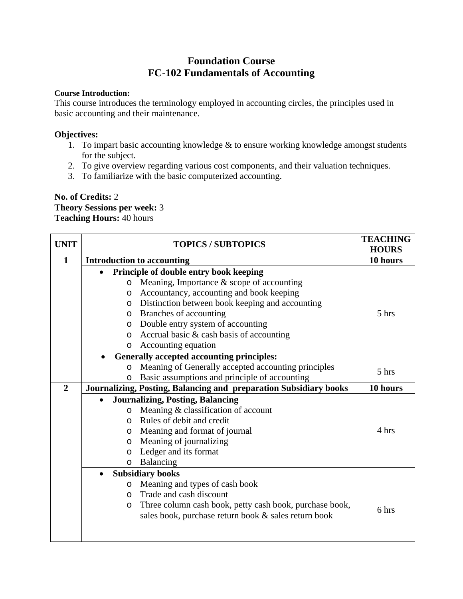# **Foundation Course FC-102 Fundamentals of Accounting**

#### **Course Introduction:**

This course introduces the terminology employed in accounting circles, the principles used in basic accounting and their maintenance.

#### **Objectives:**

- 1. To impart basic accounting knowledge & to ensure working knowledge amongst students for the subject.
- 2. To give overview regarding various cost components, and their valuation techniques.
- 3. To familiarize with the basic computerized accounting.

#### **No. of Credits:** 2 **Theory Sessions per week:** 3 **Teaching Hours:** 40 hours

| <b>UNIT</b>    | <b>TOPICS / SUBTOPICS</b> |                                                                   | <b>TEACHING</b><br><b>HOURS</b> |
|----------------|---------------------------|-------------------------------------------------------------------|---------------------------------|
| $\mathbf{1}$   |                           | <b>Introduction to accounting</b>                                 | 10 hours                        |
|                | $\bullet$                 | Principle of double entry book keeping                            |                                 |
|                | $\circ$                   | Meaning, Importance $\&$ scope of accounting                      |                                 |
|                | $\circ$                   | Accountancy, accounting and book keeping                          |                                 |
|                | $\circ$                   | Distinction between book keeping and accounting                   |                                 |
|                | $\circ$                   | Branches of accounting                                            | 5 hrs                           |
|                | $\circ$                   | Double entry system of accounting                                 |                                 |
|                | $\circ$                   | Accrual basic & cash basis of accounting                          |                                 |
|                | $\circ$                   | Accounting equation                                               |                                 |
|                |                           | <b>Generally accepted accounting principles:</b>                  |                                 |
|                | $\circ$                   | Meaning of Generally accepted accounting principles               | 5 hrs                           |
|                | $\circ$                   | Basic assumptions and principle of accounting                     |                                 |
| $\overline{2}$ |                           | Journalizing, Posting, Balancing and preparation Subsidiary books | 10 hours                        |
|                | $\bullet$                 | <b>Journalizing, Posting, Balancing</b>                           |                                 |
|                | $\circ$                   | Meaning & classification of account                               |                                 |
|                | $\Omega$                  | Rules of debit and credit                                         |                                 |
|                | $\circ$                   | Meaning and format of journal                                     | 4 hrs                           |
|                | $\circ$                   | Meaning of journalizing                                           |                                 |
|                | $\circ$                   | Ledger and its format                                             |                                 |
|                | $\circ$                   | Balancing                                                         |                                 |
|                | $\bullet$                 | <b>Subsidiary books</b>                                           |                                 |
|                | $\circ$                   | Meaning and types of cash book                                    |                                 |
|                | $\Omega$                  | Trade and cash discount                                           |                                 |
|                | O                         | Three column cash book, petty cash book, purchase book,           | 6 hrs                           |
|                |                           | sales book, purchase return book & sales return book              |                                 |
|                |                           |                                                                   |                                 |
|                |                           |                                                                   |                                 |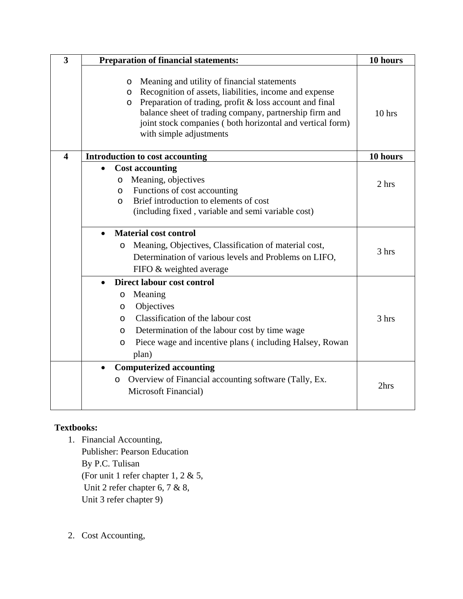| $\overline{\mathbf{3}}$ | <b>Preparation of financial statements:</b>                                                                                                                                                                                                                                                                                                   | 10 hours |
|-------------------------|-----------------------------------------------------------------------------------------------------------------------------------------------------------------------------------------------------------------------------------------------------------------------------------------------------------------------------------------------|----------|
|                         | Meaning and utility of financial statements<br>$\circ$<br>Recognition of assets, liabilities, income and expense<br>$\circ$<br>Preparation of trading, profit & loss account and final<br>O<br>balance sheet of trading company, partnership firm and<br>joint stock companies (both horizontal and vertical form)<br>with simple adjustments | $10$ hrs |
| $\overline{\mathbf{4}}$ | <b>Introduction to cost accounting</b>                                                                                                                                                                                                                                                                                                        | 10 hours |
|                         | <b>Cost accounting</b><br>Meaning, objectives<br>O<br>Functions of cost accounting<br>O<br>Brief introduction to elements of cost<br>$\Omega$<br>(including fixed, variable and semi variable cost)                                                                                                                                           | 2 hrs    |
|                         | <b>Material cost control</b><br>Meaning, Objectives, Classification of material cost,<br>$\circ$<br>Determination of various levels and Problems on LIFO,                                                                                                                                                                                     | 3 hrs    |
|                         | FIFO & weighted average                                                                                                                                                                                                                                                                                                                       |          |
|                         | <b>Direct labour cost control</b><br>Meaning<br>$\circ$<br>Objectives<br>$\circ$<br>Classification of the labour cost<br>$\circ$<br>Determination of the labour cost by time wage<br>$\circ$<br>Piece wage and incentive plans (including Halsey, Rowan<br>$\circ$<br>plan)                                                                   | 3 hrs    |
|                         | <b>Computerized accounting</b><br>Overview of Financial accounting software (Tally, Ex.<br>O<br>Microsoft Financial)                                                                                                                                                                                                                          | 2hrs     |

## **Textbooks:**

- 1. Financial Accounting, Publisher: Pearson Education By P.C. Tulisan (For unit 1 refer chapter 1, 2 & 5, Unit 2 refer chapter 6, 7 & 8, Unit 3 refer chapter 9)
- 2. Cost Accounting,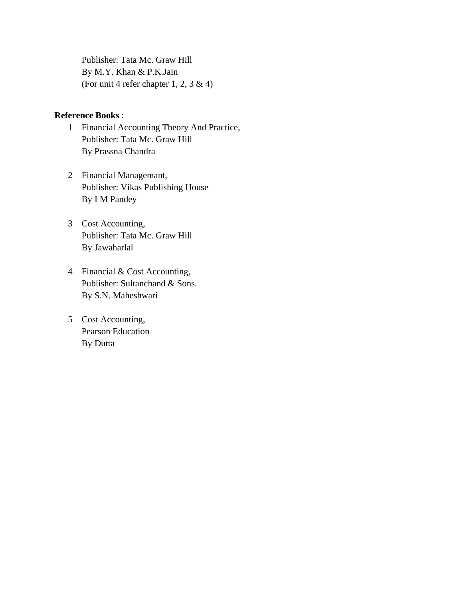Publisher: Tata Mc. Graw Hill By M.Y. Khan & P.K.Jain (For unit 4 refer chapter 1, 2, 3 & 4)

#### **Reference Books** :

- 1 Financial Accounting Theory And Practice, Publisher: Tata Mc. Graw Hill By Prassna Chandra
- 2 Financial Managemant, Publisher: Vikas Publishing House By I M Pandey
- 3 Cost Accounting, Publisher: Tata Mc. Graw Hill By Jawaharlal
- 4 Financial & Cost Accounting, Publisher: Sultanchand & Sons. By S.N. Maheshwari
- 5 Cost Accounting, Pearson Education By Dutta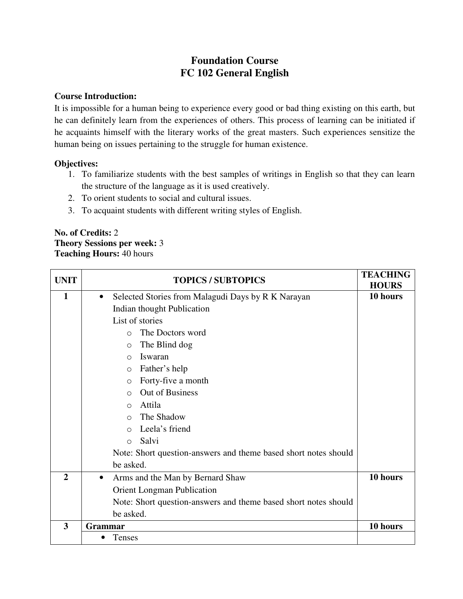# **Foundation Course FC 102 General English**

#### **Course Introduction:**

It is impossible for a human being to experience every good or bad thing existing on this earth, but he can definitely learn from the experiences of others. This process of learning can be initiated if he acquaints himself with the literary works of the great masters. Such experiences sensitize the human being on issues pertaining to the struggle for human existence.

#### **Objectives:**

- 1. To familiarize students with the best samples of writings in English so that they can learn the structure of the language as it is used creatively.
- 2. To orient students to social and cultural issues.
- 3. To acquaint students with different writing styles of English.

### **No. of Credits:** 2 **Theory Sessions per week:** 3 **Teaching Hours:** 40 hours

| <b>UNIT</b>             | <b>TOPICS / SUBTOPICS</b>                                       | <b>TEACHING</b><br><b>HOURS</b> |
|-------------------------|-----------------------------------------------------------------|---------------------------------|
| 1                       | Selected Stories from Malagudi Days by R K Narayan<br>$\bullet$ | 10 hours                        |
|                         | Indian thought Publication                                      |                                 |
|                         | List of stories                                                 |                                 |
|                         | The Doctors word<br>$\bigcirc$                                  |                                 |
|                         | The Blind dog<br>$\circ$                                        |                                 |
|                         | Iswaran<br>$\bigcirc$                                           |                                 |
|                         | Father's help<br>$\Omega$                                       |                                 |
|                         | Forty-five a month<br>$\circ$                                   |                                 |
|                         | Out of Business<br>$\bigcap$                                    |                                 |
|                         | Attila<br>$\bigcirc$                                            |                                 |
|                         | The Shadow<br>$\bigcirc$                                        |                                 |
|                         | Leela's friend<br>$\bigcirc$                                    |                                 |
|                         | Salvi<br>$\bigcirc$                                             |                                 |
|                         | Note: Short question-answers and theme based short notes should |                                 |
|                         | be asked.                                                       |                                 |
| $\mathbf{2}$            | Arms and the Man by Bernard Shaw<br>$\bullet$                   | 10 hours                        |
|                         | <b>Orient Longman Publication</b>                               |                                 |
|                         | Note: Short question-answers and theme based short notes should |                                 |
|                         | be asked.                                                       |                                 |
| $\overline{\mathbf{3}}$ | <b>Grammar</b>                                                  | 10 hours                        |
|                         | Tenses                                                          |                                 |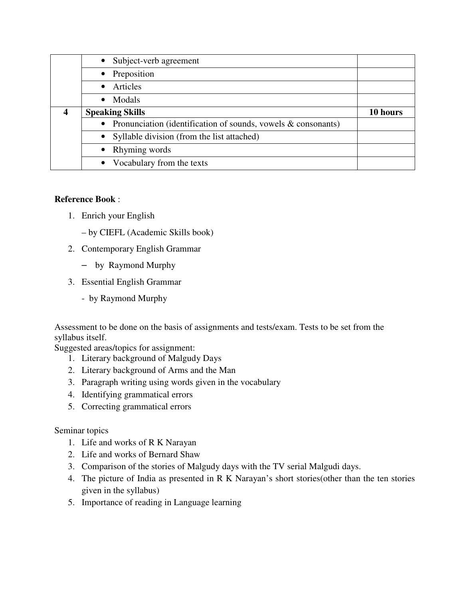|                  | Subject-verb agreement                                           |          |
|------------------|------------------------------------------------------------------|----------|
|                  | • Preposition                                                    |          |
|                  | • Articles                                                       |          |
|                  | Modals<br>$\bullet$                                              |          |
| $\boldsymbol{4}$ | <b>Speaking Skills</b>                                           | 10 hours |
|                  | Pronunciation (identification of sounds, vowels $\&$ consonants) |          |
|                  | Syllable division (from the list attached)<br>$\bullet$          |          |
|                  | • Rhyming words                                                  |          |
|                  | • Vocabulary from the texts                                      |          |

## **Reference Book** :

- 1. Enrich your English
	- by CIEFL (Academic Skills book)
- 2. Contemporary English Grammar
	- by Raymond Murphy
- 3. Essential English Grammar
	- by Raymond Murphy

Assessment to be done on the basis of assignments and tests/exam. Tests to be set from the syllabus itself.

Suggested areas/topics for assignment:

- 1. Literary background of Malgudy Days
- 2. Literary background of Arms and the Man
- 3. Paragraph writing using words given in the vocabulary
- 4. Identifying grammatical errors
- 5. Correcting grammatical errors

## Seminar topics

- 1. Life and works of R K Narayan
- 2. Life and works of Bernard Shaw
- 3. Comparison of the stories of Malgudy days with the TV serial Malgudi days.
- 4. The picture of India as presented in R K Narayan's short stories(other than the ten stories given in the syllabus)
- 5. Importance of reading in Language learning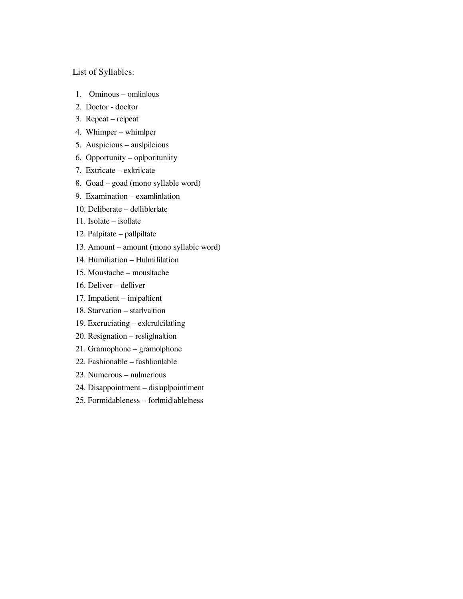#### List of Syllables:

- 1. Ominous omlinlous
- 2. Doctor docltor
- 3. Repeat re|peat
- 4. Whimper whim|per
- 5. Auspicious auslpilcious
- 6. Opportunity op|por|tun|ity
- 7. Extricate ex|tri|cate
- 8. Goad goad (mono syllable word)
- 9. Examination examlination
- 10. Deliberate delliblerlate
- 11. Isolate isollate
- 12. Palpitate pallpiltate
- 13. Amount amount (mono syllabic word)
- 14. Humiliation Hulmililation
- 15. Moustache mous|tache
- 16. Deliver delliver
- 17. Impatient im|pa|tient
- 18. Starvation starlvaltion
- 19. Excruciating exlcrulcilatling
- $20.$  Resignation reslignation
- 21. Gramophone gramo|phone
- 22. Fashionable fash|ion|able
- 23. Numerous nu|mer|ous
- 24. Disappointment dis|ap|point|ment
- 25. Formidableness for|mid|able|ness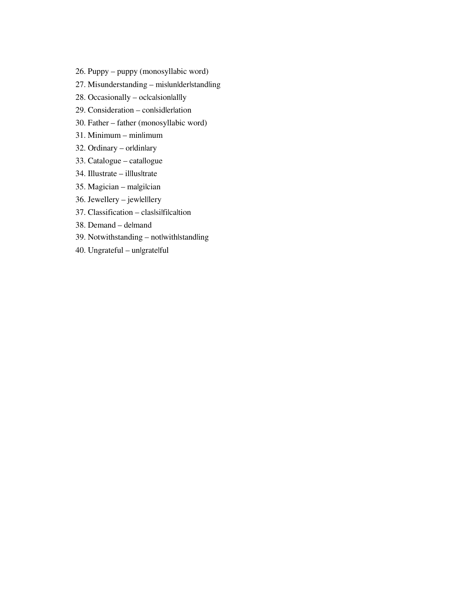- 26. Puppy puppy (monosyllabic word)
- 27. Misunderstanding mislunlderlstandling
- $28.$  Occasionally oclcalsionallly
- 29. Consideration conlsidlerlation
- 30. Father father (monosyllabic word)
- 31. Minimum min|imum
- 32. Ordinary orldinlary
- 33. Catalogue cata|logue
- 34. Illustrate il|lus|trate
- 35. Magician malgilcian
- 36. Jewellery jew|el|lery
- 37. Classification claslsilfilcaltion
- 38. Demand de|mand
- 39. Notwithstanding notlwithlstandling
- 40. Ungrateful un|grate|ful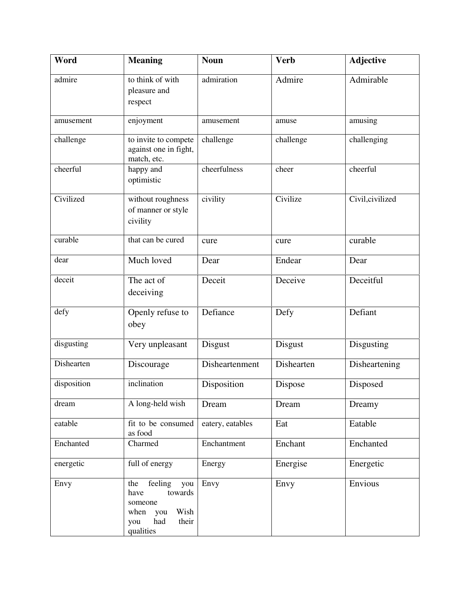| Word        | <b>Meaning</b>                                                                                                 | <b>Noun</b>      | <b>Verb</b> | <b>Adjective</b> |
|-------------|----------------------------------------------------------------------------------------------------------------|------------------|-------------|------------------|
| admire      | to think of with<br>pleasure and<br>respect                                                                    | admiration       | Admire      | Admirable        |
| amusement   | enjoyment                                                                                                      | amusement        | amuse       | amusing          |
| challenge   | to invite to compete<br>against one in fight,<br>match, etc.                                                   | challenge        | challenge   | challenging      |
| cheerful    | happy and<br>optimistic                                                                                        | cheerfulness     | cheer       | cheerful         |
| Civilized   | without roughness<br>of manner or style<br>civility                                                            | civility         | Civilize    | Civil, civilized |
| curable     | that can be cured                                                                                              | cure             | cure        | curable          |
| dear        | Much loved                                                                                                     | Dear             | Endear      | Dear             |
| deceit      | The act of<br>deceiving                                                                                        | Deceit           | Deceive     | Deceitful        |
| defy        | Openly refuse to<br>obey                                                                                       | Defiance         | Defy        | Defiant          |
| disgusting  | Very unpleasant                                                                                                | Disgust          | Disgust     | Disgusting       |
| Dishearten  | Discourage                                                                                                     | Disheartenment   | Dishearten  | Disheartening    |
| disposition | inclination                                                                                                    | Disposition      | Dispose     | Disposed         |
| dream       | A long-held wish                                                                                               | Dream            | Dream       | Dreamy           |
| eatable     | fit to be consumed<br>as food                                                                                  | eatery, eatables | Eat         | Eatable          |
| Enchanted   | Charmed                                                                                                        | Enchantment      | Enchant     | Enchanted        |
| energetic   | full of energy                                                                                                 | Energy           | Energise    | Energetic        |
| Envy        | feeling<br>you<br>the<br>have<br>towards<br>someone<br>Wish<br>when<br>you<br>had<br>their<br>you<br>qualities | Envy             | Envy        | Envious          |